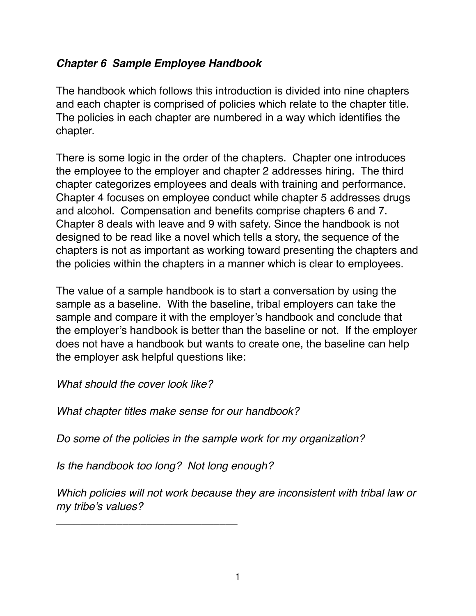# **Chapter 6 Sample Employee Handbook**

The handbook which follows this introduction is divided into nine chapters and each chapter is comprised of policies which relate to the chapter title. The policies in each chapter are numbered in a way which identifies the chapter.

There is some logic in the order of the chapters. Chapter one introduces the employee to the employer and chapter 2 addresses hiring. The third chapter categorizes employees and deals with training and performance. Chapter 4 focuses on employee conduct while chapter 5 addresses drugs and alcohol. Compensation and benefits comprise chapters 6 and 7. Chapter 8 deals with leave and 9 with safety. Since the handbook is not designed to be read like a novel which tells a story, the sequence of the chapters is not as important as working toward presenting the chapters and the policies within the chapters in a manner which is clear to employees.

The value of a sample handbook is to start a conversation by using the sample as a baseline. With the baseline, tribal employers can take the sample and compare it with the employer's handbook and conclude that the employer's handbook is better than the baseline or not. If the employer does not have a handbook but wants to create one, the baseline can help the employer ask helpful questions like:

*What should the cover look like?*

*What chapter titles make sense for our handbook?*

*Do some of the policies in the sample work for my organization?*

*Is the handbook too long? Not long enough?*

\_\_\_\_\_\_\_\_\_\_\_\_\_\_\_\_\_\_\_\_\_\_\_\_\_\_\_\_\_\_

*Which policies will not work because they are inconsistent with tribal law or my tribe's values?*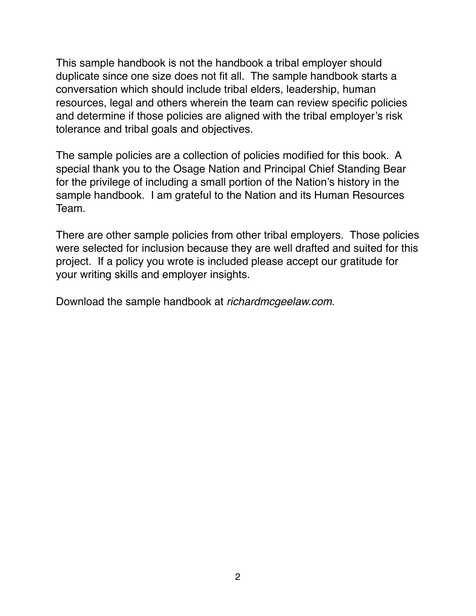This sample handbook is not the handbook a tribal employer should duplicate since one size does not fit all. The sample handbook starts a conversation which should include tribal elders, leadership, human resources, legal and others wherein the team can review specific policies and determine if those policies are aligned with the tribal employer's risk tolerance and tribal goals and objectives.

The sample policies are a collection of policies modified for this book. A special thank you to the Osage Nation and Principal Chief Standing Bear for the privilege of including a small portion of the Nation's history in the sample handbook. I am grateful to the Nation and its Human Resources Team.

There are other sample policies from other tribal employers. Those policies were selected for inclusion because they are well drafted and suited for this project. If a policy you wrote is included please accept our gratitude for your writing skills and employer insights.

Download the sample handbook at *richardmcgeelaw.com*.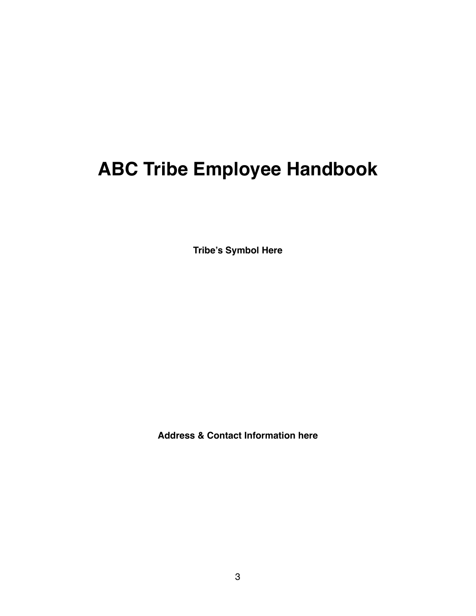# **ABC Tribe Employee Handbook**

**Tribe's Symbol Here**

**Address & Contact Information here**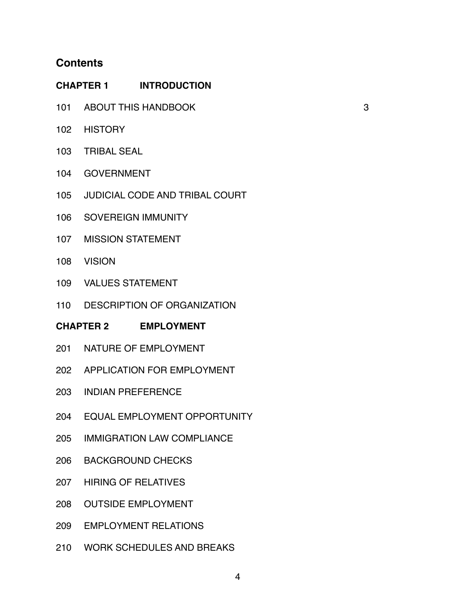# **Contents**

| <b>CHAPTER 1 INTRODUCTION</b>         |                                       |   |  |  |
|---------------------------------------|---------------------------------------|---|--|--|
|                                       | 101 ABOUT THIS HANDBOOK               | 3 |  |  |
|                                       | 102 HISTORY                           |   |  |  |
| 103                                   | <b>TRIBAL SEAL</b>                    |   |  |  |
| 104                                   | <b>GOVERNMENT</b>                     |   |  |  |
| 105                                   | <b>JUDICIAL CODE AND TRIBAL COURT</b> |   |  |  |
| 106                                   | SOVEREIGN IMMUNITY                    |   |  |  |
|                                       | 107 MISSION STATEMENT                 |   |  |  |
| 108                                   | <b>VISION</b>                         |   |  |  |
| 109                                   | <b>VALUES STATEMENT</b>               |   |  |  |
| 110                                   | DESCRIPTION OF ORGANIZATION           |   |  |  |
| <b>CHAPTER 2</b><br><b>EMPLOYMENT</b> |                                       |   |  |  |

- 201 NATURE OF EMPLOYMENT
- 202 APPLICATION FOR EMPLOYMENT
- 203 INDIAN PREFERENCE
- 204 EQUAL EMPLOYMENT OPPORTUNITY
- 205 IMMIGRATION LAW COMPLIANCE
- 206 BACKGROUND CHECKS
- 207 HIRING OF RELATIVES
- 208 OUTSIDE EMPLOYMENT
- 209 EMPLOYMENT RELATIONS
- 210 WORK SCHEDULES AND BREAKS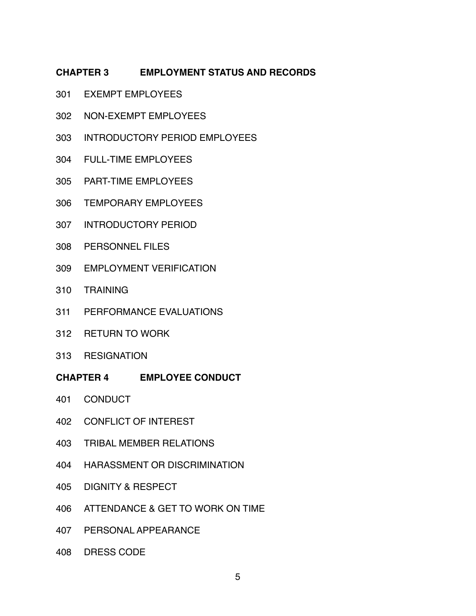#### **CHAPTER 3 EMPLOYMENT STATUS AND RECORDS**

- 301 EXEMPT EMPLOYEES
- 302 NON-EXEMPT EMPLOYEES
- 303 INTRODUCTORY PERIOD EMPLOYEES
- 304 FULL-TIME EMPLOYEES
- 305 PART-TIME EMPLOYEES
- 306 TEMPORARY EMPLOYEES
- 307 INTRODUCTORY PERIOD
- 308 PERSONNEL FILES
- 309 EMPLOYMENT VERIFICATION
- 310 TRAINING
- 311 PERFORMANCE EVALUATIONS
- 312 RETURN TO WORK
- 313 RESIGNATION
- **CHAPTER 4 EMPLOYEE CONDUCT**
- 401 CONDUCT
- 402 CONFLICT OF INTEREST
- 403 TRIBAL MEMBER RELATIONS
- 404 HARASSMENT OR DISCRIMINATION
- 405 DIGNITY & RESPECT
- 406 ATTENDANCE & GET TO WORK ON TIME
- 407 PERSONAL APPEARANCE
- 408 DRESS CODE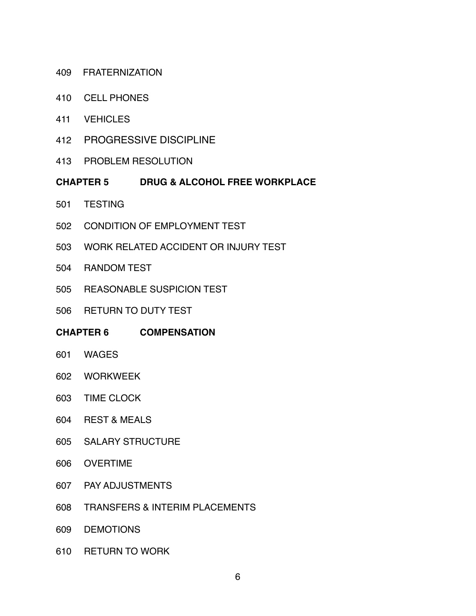- 409 FRATERNIZATION
- 410 CELL PHONES
- 411 VEHICLES
- 412 PROGRESSIVE DISCIPLINE
- 413 PROBLEM RESOLUTION
- **CHAPTER 5 DRUG & ALCOHOL FREE WORKPLACE**
- 501 TESTING
- 502 CONDITION OF EMPLOYMENT TEST
- 503 WORK RELATED ACCIDENT OR INJURY TEST
- 504 RANDOM TEST
- 505 REASONABLE SUSPICION TEST
- 506 RETURN TO DUTY TEST
- **CHAPTER 6 COMPENSATION**
- 601 WAGES
- 602 WORKWEEK
- 603 TIME CLOCK
- 604 REST & MEALS
- 605 SALARY STRUCTURE
- 606 OVERTIME
- 607 PAY ADJUSTMENTS
- 608 TRANSFERS & INTERIM PLACEMENTS
- 609 DEMOTIONS
- 610 RETURN TO WORK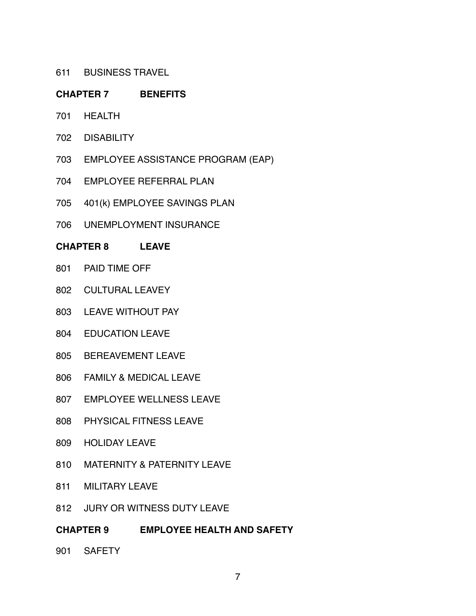611 BUSINESS TRAVEL

#### **CHAPTER 7 BENEFITS**

- 701 HEALTH
- 702 DISABILITY
- 703 EMPLOYEE ASSISTANCE PROGRAM (EAP)
- 704 EMPLOYEE REFERRAL PLAN
- 705 401(k) EMPLOYEE SAVINGS PLAN
- 706 UNEMPLOYMENT INSURANCE

#### **CHAPTER 8 LEAVE**

- 801 PAID TIME OFF
- 802 CULTURAL LEAVEY
- 803 LEAVE WITHOUT PAY
- 804 EDUCATION LEAVE
- 805 BEREAVEMENT LEAVE
- 806 FAMILY & MEDICAL LEAVE
- 807 EMPLOYEE WELLNESS LEAVE
- 808 PHYSICAL FITNESS LEAVE
- 809 HOLIDAY LEAVE
- 810 MATERNITY & PATERNITY LEAVE
- 811 MILITARY LEAVE
- 812 JURY OR WITNESS DUTY LEAVE
- **CHAPTER 9 EMPLOYEE HEALTH AND SAFETY**
- 901 SAFETY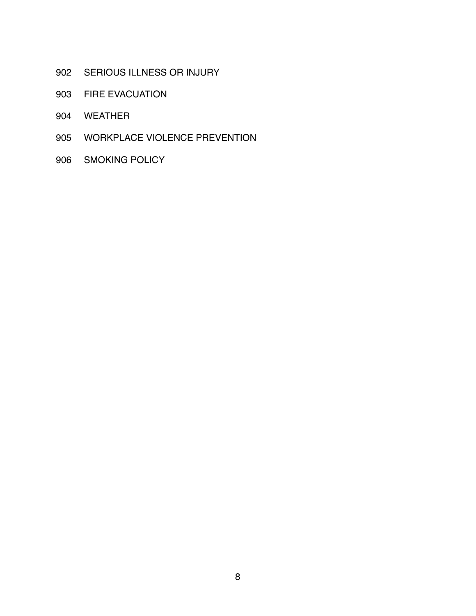- 902 SERIOUS ILLNESS OR INJURY
- 903 FIRE EVACUATION
- WEATHER
- WORKPLACE VIOLENCE PREVENTION
- SMOKING POLICY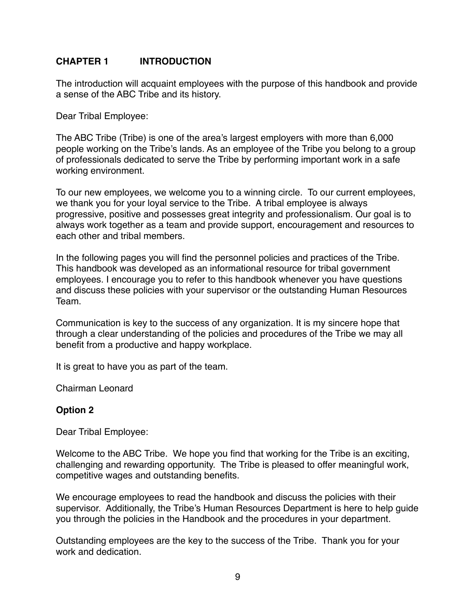# **CHAPTER 1 INTRODUCTION**

The introduction will acquaint employees with the purpose of this handbook and provide a sense of the ABC Tribe and its history.

Dear Tribal Employee:

The ABC Tribe (Tribe) is one of the area's largest employers with more than 6,000 people working on the Tribe's lands. As an employee of the Tribe you belong to a group of professionals dedicated to serve the Tribe by performing important work in a safe working environment.

To our new employees, we welcome you to a winning circle. To our current employees, we thank you for your loyal service to the Tribe. A tribal employee is always progressive, positive and possesses great integrity and professionalism. Our goal is to always work together as a team and provide support, encouragement and resources to each other and tribal members.

In the following pages you will find the personnel policies and practices of the Tribe. This handbook was developed as an informational resource for tribal government employees. I encourage you to refer to this handbook whenever you have questions and discuss these policies with your supervisor or the outstanding Human Resources Team.

Communication is key to the success of any organization. It is my sincere hope that through a clear understanding of the policies and procedures of the Tribe we may all benefit from a productive and happy workplace.

It is great to have you as part of the team.

Chairman Leonard

# **Option 2**

Dear Tribal Employee:

Welcome to the ABC Tribe. We hope you find that working for the Tribe is an exciting, challenging and rewarding opportunity. The Tribe is pleased to offer meaningful work, competitive wages and outstanding benefits.

We encourage employees to read the handbook and discuss the policies with their supervisor. Additionally, the Tribe's Human Resources Department is here to help guide you through the policies in the Handbook and the procedures in your department.

Outstanding employees are the key to the success of the Tribe. Thank you for your work and dedication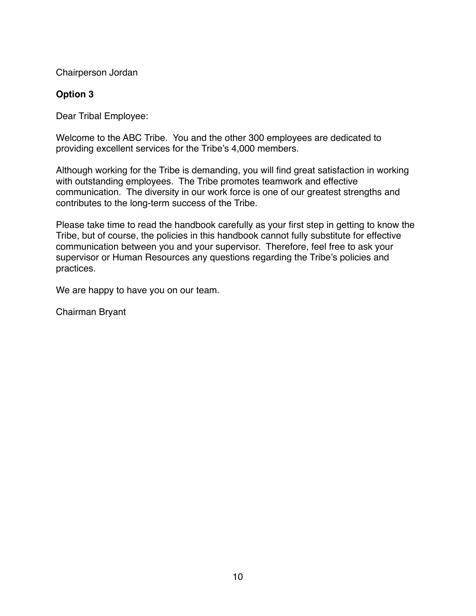Chairperson Jordan

# **Option 3**

Dear Tribal Employee:

Welcome to the ABC Tribe. You and the other 300 employees are dedicated to providing excellent services for the Tribe's 4,000 members.

Although working for the Tribe is demanding, you will find great satisfaction in working with outstanding employees. The Tribe promotes teamwork and effective communication. The diversity in our work force is one of our greatest strengths and contributes to the long-term success of the Tribe.

Please take time to read the handbook carefully as your first step in getting to know the Tribe, but of course, the policies in this handbook cannot fully substitute for effective communication between you and your supervisor. Therefore, feel free to ask your supervisor or Human Resources any questions regarding the Tribe's policies and practices.

We are happy to have you on our team.

Chairman Bryant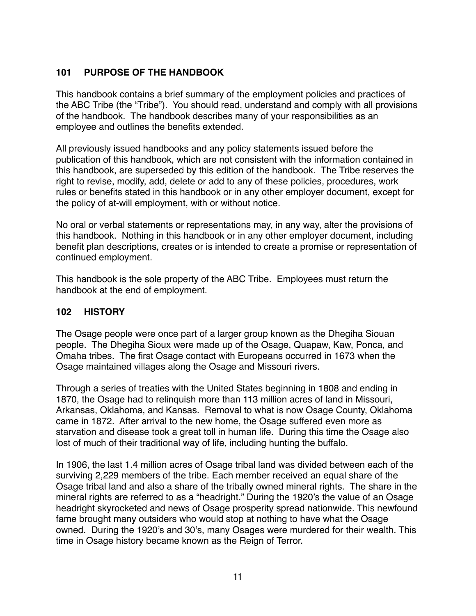# **101 PURPOSE OF THE HANDBOOK**

This handbook contains a brief summary of the employment policies and practices of the ABC Tribe (the "Tribe"). You should read, understand and comply with all provisions of the handbook. The handbook describes many of your responsibilities as an employee and outlines the benefits extended.

All previously issued handbooks and any policy statements issued before the publication of this handbook, which are not consistent with the information contained in this handbook, are superseded by this edition of the handbook. The Tribe reserves the right to revise, modify, add, delete or add to any of these policies, procedures, work rules or benefits stated in this handbook or in any other employer document, except for the policy of at-will employment, with or without notice.

No oral or verbal statements or representations may, in any way, alter the provisions of this handbook. Nothing in this handbook or in any other employer document, including benefit plan descriptions, creates or is intended to create a promise or representation of continued employment.

This handbook is the sole property of the ABC Tribe. Employees must return the handbook at the end of employment.

# **102 HISTORY**

The Osage people were once part of a larger group known as the Dhegiha Siouan people. The Dhegiha Sioux were made up of the Osage, Quapaw, Kaw, Ponca, and Omaha tribes. The first Osage contact with Europeans occurred in 1673 when the Osage maintained villages along the Osage and Missouri rivers.

Through a series of treaties with the United States beginning in 1808 and ending in 1870, the Osage had to relinquish more than 113 million acres of land in Missouri, Arkansas, Oklahoma, and Kansas. Removal to what is now Osage County, Oklahoma came in 1872. After arrival to the new home, the Osage suffered even more as starvation and disease took a great toll in human life. During this time the Osage also lost of much of their traditional way of life, including hunting the buffalo.

In 1906, the last 1.4 million acres of Osage tribal land was divided between each of the surviving 2,229 members of the tribe. Each member received an equal share of the Osage tribal land and also a share of the tribally owned mineral rights. The share in the mineral rights are referred to as a "headright." During the 1920's the value of an Osage headright skyrocketed and news of Osage prosperity spread nationwide. This newfound fame brought many outsiders who would stop at nothing to have what the Osage owned. During the 1920's and 30's, many Osages were murdered for their wealth. This time in Osage history became known as the Reign of Terror.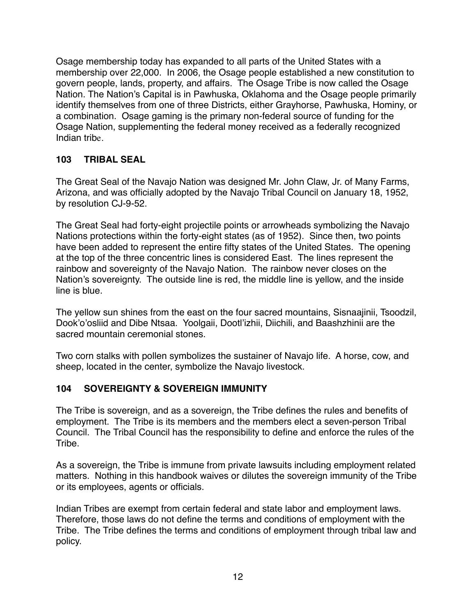Osage membership today has expanded to all parts of the United States with a membership over 22,000. In 2006, the Osage people established a new constitution to govern people, lands, property, and affairs. The Osage Tribe is now called the Osage Nation. The Nation's Capital is in Pawhuska, Oklahoma and the Osage people primarily identify themselves from one of three Districts, either Grayhorse, Pawhuska, Hominy, or a combination. Osage gaming is the primary non-federal source of funding for the Osage Nation, supplementing the federal money received as a federally recognized Indian tribe.

# **103 TRIBAL SEAL**

The Great Seal of the Navajo Nation was designed Mr. John Claw, Jr. of Many Farms, Arizona, and was officially adopted by the Navajo Tribal Council on January 18, 1952, by resolution CJ-9-52.

The Great Seal had forty-eight projectile points or arrowheads symbolizing the Navajo Nations protections within the forty-eight states (as of 1952). Since then, two points have been added to represent the entire fifty states of the United States. The opening at the top of the three concentric lines is considered East. The lines represent the rainbow and sovereignty of the Navajo Nation. The rainbow never closes on the Nation's sovereignty. The outside line is red, the middle line is yellow, and the inside line is blue.

The yellow sun shines from the east on the four sacred mountains, Sisnaajinii, Tsoodzil, Dook'o'osliid and Dibe Ntsaa. Yoolgaii, Dootl'izhii, Diichili, and Baashzhinii are the sacred mountain ceremonial stones.

Two corn stalks with pollen symbolizes the sustainer of Navajo life. A horse, cow, and sheep, located in the center, symbolize the Navajo livestock.

# **104 SOVEREIGNTY & SOVEREIGN IMMUNITY**

The Tribe is sovereign, and as a sovereign, the Tribe defines the rules and benefits of employment. The Tribe is its members and the members elect a seven-person Tribal Council. The Tribal Council has the responsibility to define and enforce the rules of the Tribe.

As a sovereign, the Tribe is immune from private lawsuits including employment related matters. Nothing in this handbook waives or dilutes the sovereign immunity of the Tribe or its employees, agents or officials.

Indian Tribes are exempt from certain federal and state labor and employment laws. Therefore, those laws do not define the terms and conditions of employment with the Tribe. The Tribe defines the terms and conditions of employment through tribal law and policy.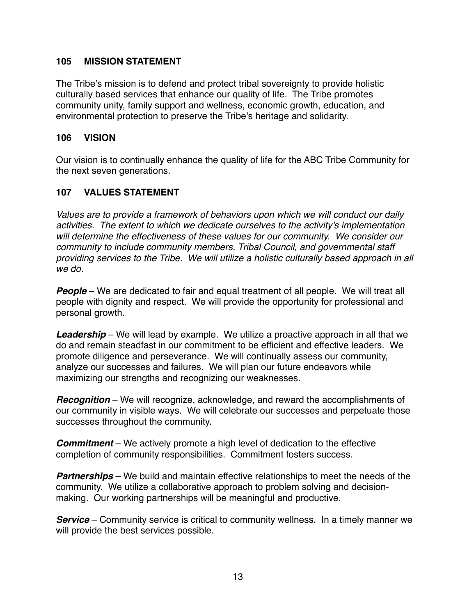#### **105 MISSION STATEMENT**

The Tribe's mission is to defend and protect tribal sovereignty to provide holistic culturally based services that enhance our quality of life. The Tribe promotes community unity, family support and wellness, economic growth, education, and environmental protection to preserve the Tribe's heritage and solidarity.

#### **106 VISION**

Our vision is to continually enhance the quality of life for the ABC Tribe Community for the next seven generations.

# **107 VALUES STATEMENT**

*Values are to provide a framework of behaviors upon which we will conduct our daily activities. The extent to which we dedicate ourselves to the activity's implementation will determine the effectiveness of these values for our community. We consider our community to include community members, Tribal Council, and governmental staff providing services to the Tribe. We will utilize a holistic culturally based approach in all we do*.

**People** – We are dedicated to fair and equal treatment of all people. We will treat all people with dignity and respect. We will provide the opportunity for professional and personal growth.

**Leadership** – We will lead by example. We utilize a proactive approach in all that we do and remain steadfast in our commitment to be efficient and effective leaders. We promote diligence and perseverance. We will continually assess our community, analyze our successes and failures. We will plan our future endeavors while maximizing our strengths and recognizing our weaknesses.

**Recognition** – We will recognize, acknowledge, and reward the accomplishments of our community in visible ways. We will celebrate our successes and perpetuate those successes throughout the community.

**Commitment** – We actively promote a high level of dedication to the effective completion of community responsibilities. Commitment fosters success.

**Partnerships** – We build and maintain effective relationships to meet the needs of the community. We utilize a collaborative approach to problem solving and decisionmaking. Our working partnerships will be meaningful and productive.

**Service** – Community service is critical to community wellness. In a timely manner we will provide the best services possible.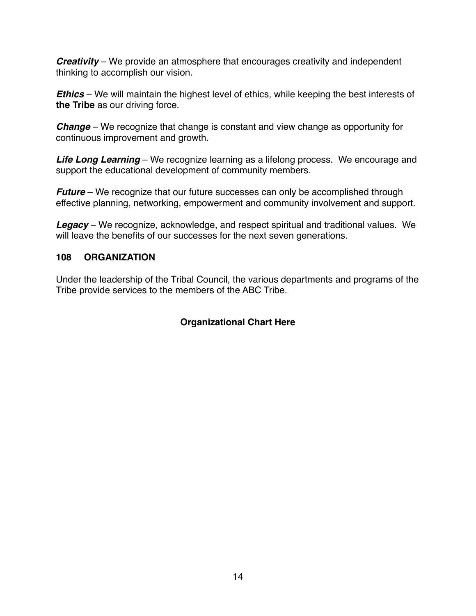**Creativity** – We provide an atmosphere that encourages creativity and independent thinking to accomplish our vision.

**Ethics** – We will maintain the highest level of ethics, while keeping the best interests of **the Tribe** as our driving force.

**Change** – We recognize that change is constant and view change as opportunity for continuous improvement and growth.

**Life Long Learning** – We recognize learning as a lifelong process. We encourage and support the educational development of community members.

**Future** – We recognize that our future successes can only be accomplished through effective planning, networking, empowerment and community involvement and support.

**Legacy** – We recognize, acknowledge, and respect spiritual and traditional values. We will leave the benefits of our successes for the next seven generations.

# **108 ORGANIZATION**

Under the leadership of the Tribal Council, the various departments and programs of the Tribe provide services to the members of the ABC Tribe.

# **Organizational Chart Here**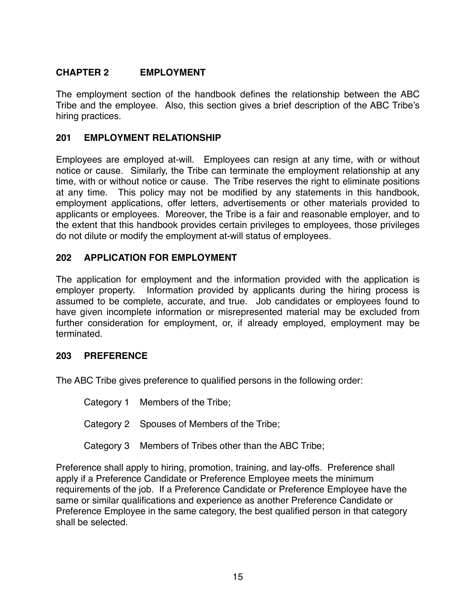# **CHAPTER 2 EMPLOYMENT**

The employment section of the handbook defines the relationship between the ABC Tribe and the employee. Also, this section gives a brief description of the ABC Tribe's hiring practices.

# **201 EMPLOYMENT RELATIONSHIP**

Employees are employed at-will. Employees can resign at any time, with or without notice or cause. Similarly, the Tribe can terminate the employment relationship at any time, with or without notice or cause. The Tribe reserves the right to eliminate positions at any time. This policy may not be modified by any statements in this handbook, employment applications, offer letters, advertisements or other materials provided to applicants or employees. Moreover, the Tribe is a fair and reasonable employer, and to the extent that this handbook provides certain privileges to employees, those privileges do not dilute or modify the employment at-will status of employees.

#### **202 APPLICATION FOR EMPLOYMENT**

The application for employment and the information provided with the application is employer property. Information provided by applicants during the hiring process is assumed to be complete, accurate, and true. Job candidates or employees found to have given incomplete information or misrepresented material may be excluded from further consideration for employment, or, if already employed, employment may be terminated.

#### **203 PREFERENCE**

The ABC Tribe gives preference to qualified persons in the following order:

Category 1 Members of the Tribe;

Category 2 Spouses of Members of the Tribe;

Category 3 Members of Tribes other than the ABC Tribe;

Preference shall apply to hiring, promotion, training, and lay-offs. Preference shall apply if a Preference Candidate or Preference Employee meets the minimum requirements of the job. If a Preference Candidate or Preference Employee have the same or similar qualifications and experience as another Preference Candidate or Preference Employee in the same category, the best qualified person in that category shall be selected.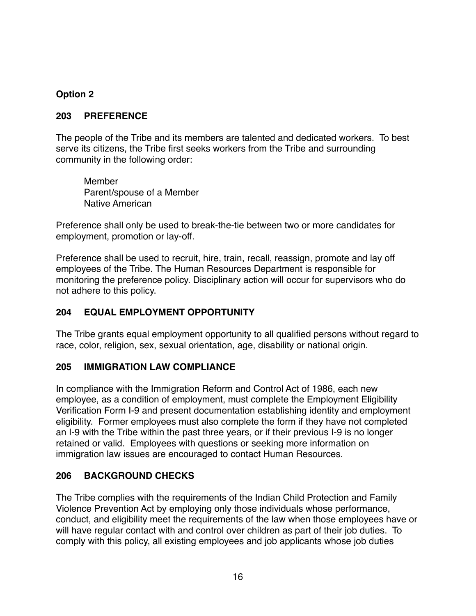# **Option 2**

#### **203 PREFERENCE**

The people of the Tribe and its members are talented and dedicated workers. To best serve its citizens, the Tribe first seeks workers from the Tribe and surrounding community in the following order:

Member Parent/spouse of a Member Native American

Preference shall only be used to break-the-tie between two or more candidates for employment, promotion or lay-off.

Preference shall be used to recruit, hire, train, recall, reassign, promote and lay off employees of the Tribe. The Human Resources Department is responsible for monitoring the preference policy. Disciplinary action will occur for supervisors who do not adhere to this policy.

# **204 EQUAL EMPLOYMENT OPPORTUNITY**

The Tribe grants equal employment opportunity to all qualified persons without regard to race, color, religion, sex, sexual orientation, age, disability or national origin.

# **205 IMMIGRATION LAW COMPLIANCE**

In compliance with the Immigration Reform and Control Act of 1986, each new employee, as a condition of employment, must complete the Employment Eligibility Verification Form I-9 and present documentation establishing identity and employment eligibility. Former employees must also complete the form if they have not completed an I-9 with the Tribe within the past three years, or if their previous I-9 is no longer retained or valid. Employees with questions or seeking more information on immigration law issues are encouraged to contact Human Resources.

# **206 BACKGROUND CHECKS**

The Tribe complies with the requirements of the Indian Child Protection and Family Violence Prevention Act by employing only those individuals whose performance, conduct, and eligibility meet the requirements of the law when those employees have or will have regular contact with and control over children as part of their job duties. To comply with this policy, all existing employees and job applicants whose job duties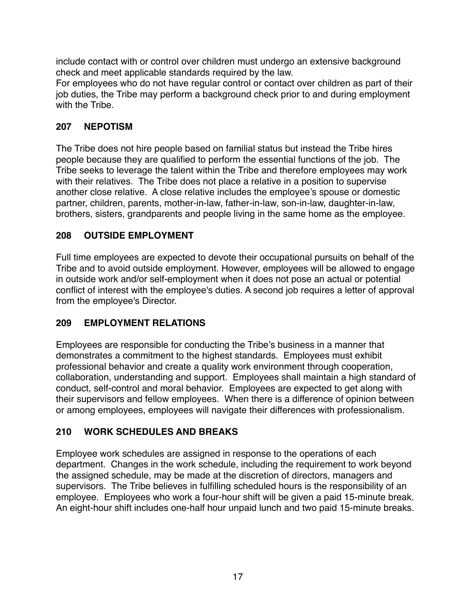include contact with or control over children must undergo an extensive background check and meet applicable standards required by the law.

For employees who do not have regular control or contact over children as part of their job duties, the Tribe may perform a background check prior to and during employment with the Tribe.

# **207 NEPOTISM**

The Tribe does not hire people based on familial status but instead the Tribe hires people because they are qualified to perform the essential functions of the job. The Tribe seeks to leverage the talent within the Tribe and therefore employees may work with their relatives. The Tribe does not place a relative in a position to supervise another close relative. A close relative includes the employee's spouse or domestic partner, children, parents, mother-in-law, father-in-law, son-in-law, daughter-in-law, brothers, sisters, grandparents and people living in the same home as the employee.

# **208 OUTSIDE EMPLOYMENT**

Full time employees are expected to devote their occupational pursuits on behalf of the Tribe and to avoid outside employment. However, employees will be allowed to engage in outside work and/or self-employment when it does not pose an actual or potential conflict of interest with the employee's duties. A second job requires a letter of approval from the employee's Director.

# **209 EMPLOYMENT RELATIONS**

Employees are responsible for conducting the Tribe's business in a manner that demonstrates a commitment to the highest standards. Employees must exhibit professional behavior and create a quality work environment through cooperation, collaboration, understanding and support. Employees shall maintain a high standard of conduct, self-control and moral behavior. Employees are expected to get along with their supervisors and fellow employees. When there is a difference of opinion between or among employees, employees will navigate their differences with professionalism.

# **210 WORK SCHEDULES AND BREAKS**

Employee work schedules are assigned in response to the operations of each department. Changes in the work schedule, including the requirement to work beyond the assigned schedule, may be made at the discretion of directors, managers and supervisors. The Tribe believes in fulfilling scheduled hours is the responsibility of an employee. Employees who work a four-hour shift will be given a paid 15-minute break. An eight-hour shift includes one-half hour unpaid lunch and two paid 15-minute breaks.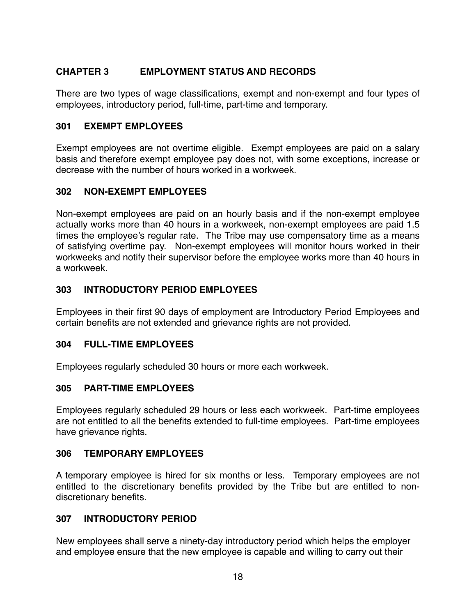# **CHAPTER 3 EMPLOYMENT STATUS AND RECORDS**

There are two types of wage classifications, exempt and non-exempt and four types of employees, introductory period, full-time, part-time and temporary.

#### **301 EXEMPT EMPLOYEES**

Exempt employees are not overtime eligible. Exempt employees are paid on a salary basis and therefore exempt employee pay does not, with some exceptions, increase or decrease with the number of hours worked in a workweek.

#### **302 NON-EXEMPT EMPLOYEES**

Non-exempt employees are paid on an hourly basis and if the non-exempt employee actually works more than 40 hours in a workweek, non-exempt employees are paid 1.5 times the employee's regular rate. The Tribe may use compensatory time as a means of satisfying overtime pay. Non-exempt employees will monitor hours worked in their workweeks and notify their supervisor before the employee works more than 40 hours in a workweek.

# **303 INTRODUCTORY PERIOD EMPLOYEES**

Employees in their first 90 days of employment are Introductory Period Employees and certain benefits are not extended and grievance rights are not provided.

#### **304 FULL-TIME EMPLOYEES**

Employees regularly scheduled 30 hours or more each workweek.

#### **305 PART-TIME EMPLOYEES**

Employees regularly scheduled 29 hours or less each workweek. Part-time employees are not entitled to all the benefits extended to full-time employees. Part-time employees have grievance rights.

#### **306 TEMPORARY EMPLOYEES**

A temporary employee is hired for six months or less. Temporary employees are not entitled to the discretionary benefits provided by the Tribe but are entitled to nondiscretionary benefits.

#### **307 INTRODUCTORY PERIOD**

New employees shall serve a ninety-day introductory period which helps the employer and employee ensure that the new employee is capable and willing to carry out their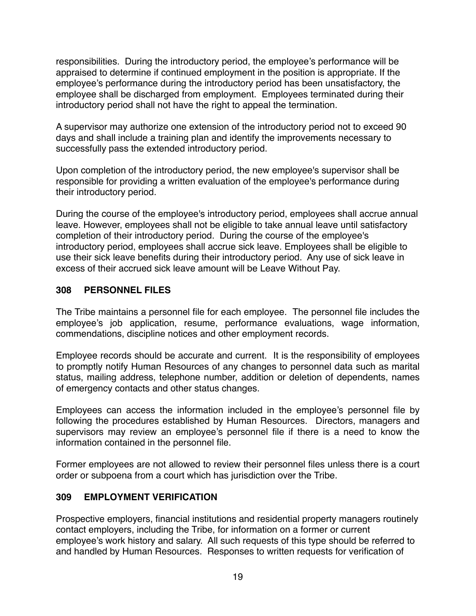responsibilities. During the introductory period, the employee's performance will be appraised to determine if continued employment in the position is appropriate. If the employee's performance during the introductory period has been unsatisfactory, the employee shall be discharged from employment. Employees terminated during their introductory period shall not have the right to appeal the termination.

A supervisor may authorize one extension of the introductory period not to exceed 90 days and shall include a training plan and identify the improvements necessary to successfully pass the extended introductory period.

Upon completion of the introductory period, the new employee's supervisor shall be responsible for providing a written evaluation of the employee's performance during their introductory period.

During the course of the employee's introductory period, employees shall accrue annual leave. However, employees shall not be eligible to take annual leave until satisfactory completion of their introductory period. During the course of the employee's introductory period, employees shall accrue sick leave. Employees shall be eligible to use their sick leave benefits during their introductory period. Any use of sick leave in excess of their accrued sick leave amount will be Leave Without Pay.

# **308 PERSONNEL FILES**

The Tribe maintains a personnel file for each employee. The personnel file includes the employee's job application, resume, performance evaluations, wage information, commendations, discipline notices and other employment records.

Employee records should be accurate and current. It is the responsibility of employees to promptly notify Human Resources of any changes to personnel data such as marital status, mailing address, telephone number, addition or deletion of dependents, names of emergency contacts and other status changes.

Employees can access the information included in the employee's personnel file by following the procedures established by Human Resources. Directors, managers and supervisors may review an employee's personnel file if there is a need to know the information contained in the personnel file.

Former employees are not allowed to review their personnel files unless there is a court order or subpoena from a court which has jurisdiction over the Tribe.

# **309 EMPLOYMENT VERIFICATION**

Prospective employers, financial institutions and residential property managers routinely contact employers, including the Tribe, for information on a former or current employee's work history and salary. All such requests of this type should be referred to and handled by Human Resources. Responses to written requests for verification of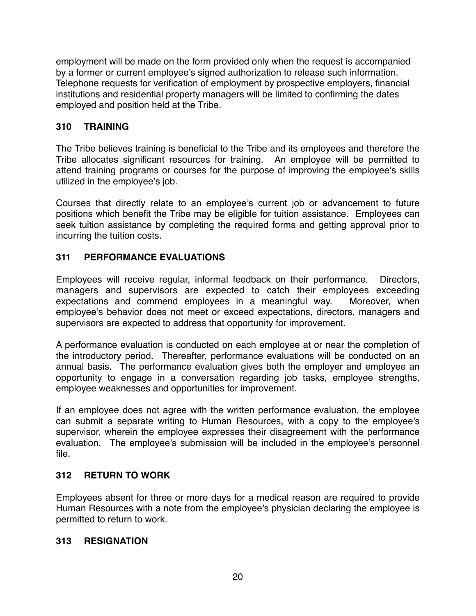employment will be made on the form provided only when the request is accompanied by a former or current employee's signed authorization to release such information. Telephone requests for verification of employment by prospective employers, financial institutions and residential property managers will be limited to confirming the dates employed and position held at the Tribe.

# **310 TRAINING**

The Tribe believes training is beneficial to the Tribe and its employees and therefore the Tribe allocates significant resources for training. An employee will be permitted to attend training programs or courses for the purpose of improving the employee's skills utilized in the employee's job.

Courses that directly relate to an employee's current job or advancement to future positions which benefit the Tribe may be eligible for tuition assistance. Employees can seek tuition assistance by completing the required forms and getting approval prior to incurring the tuition costs.

# **311 PERFORMANCE EVALUATIONS**

Employees will receive regular, informal feedback on their performance. Directors, managers and supervisors are expected to catch their employees exceeding expectations and commend employees in a meaningful way. Moreover, when employee's behavior does not meet or exceed expectations, directors, managers and supervisors are expected to address that opportunity for improvement.

A performance evaluation is conducted on each employee at or near the completion of the introductory period. Thereafter, performance evaluations will be conducted on an annual basis. The performance evaluation gives both the employer and employee an opportunity to engage in a conversation regarding job tasks, employee strengths, employee weaknesses and opportunities for improvement.

If an employee does not agree with the written performance evaluation, the employee can submit a separate writing to Human Resources, with a copy to the employee's supervisor, wherein the employee expresses their disagreement with the performance evaluation. The employee's submission will be included in the employee's personnel file.

# **312 RETURN TO WORK**

Employees absent for three or more days for a medical reason are required to provide Human Resources with a note from the employee's physician declaring the employee is permitted to return to work.

#### **313 RESIGNATION**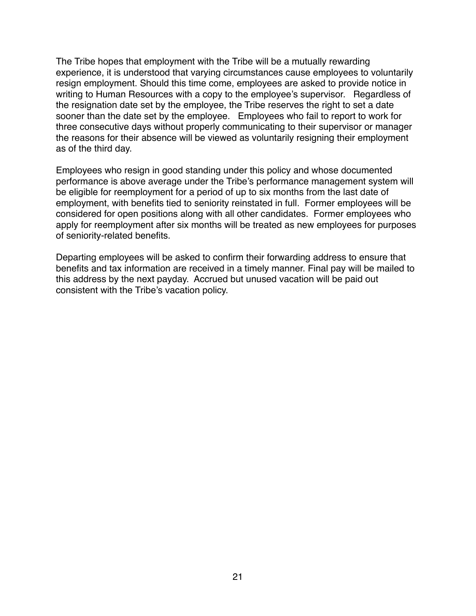The Tribe hopes that employment with the Tribe will be a mutually rewarding experience, it is understood that varying circumstances cause employees to voluntarily resign employment. Should this time come, employees are asked to provide notice in writing to Human Resources with a copy to the employee's supervisor. Regardless of the resignation date set by the employee, the Tribe reserves the right to set a date sooner than the date set by the employee. Employees who fail to report to work for three consecutive days without properly communicating to their supervisor or manager the reasons for their absence will be viewed as voluntarily resigning their employment as of the third day.

Employees who resign in good standing under this policy and whose documented performance is above average under the Tribe's performance management system will be eligible for reemployment for a period of up to six months from the last date of employment, with benefits tied to seniority reinstated in full. Former employees will be considered for open positions along with all other candidates. Former employees who apply for reemployment after six months will be treated as new employees for purposes of seniority-related benefits.

Departing employees will be asked to confirm their forwarding address to ensure that benefits and tax information are received in a timely manner. Final pay will be mailed to this address by the next payday. Accrued but unused vacation will be paid out consistent with the Tribe's vacation policy.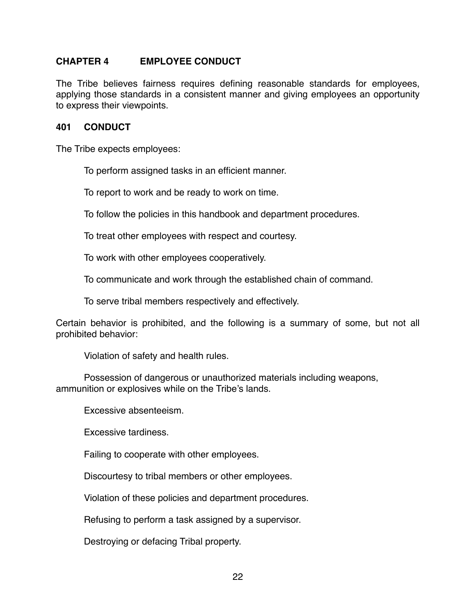#### **CHAPTER 4 EMPLOYEE CONDUCT**

The Tribe believes fairness requires defining reasonable standards for employees, applying those standards in a consistent manner and giving employees an opportunity to express their viewpoints.

#### **401 CONDUCT**

The Tribe expects employees:

To perform assigned tasks in an efficient manner.

To report to work and be ready to work on time.

To follow the policies in this handbook and department procedures.

To treat other employees with respect and courtesy.

To work with other employees cooperatively.

To communicate and work through the established chain of command.

To serve tribal members respectively and effectively.

Certain behavior is prohibited, and the following is a summary of some, but not all prohibited behavior:

Violation of safety and health rules.

Possession of dangerous or unauthorized materials including weapons, ammunition or explosives while on the Tribe's lands.

Excessive absenteeism.

Excessive tardiness.

Failing to cooperate with other employees.

Discourtesy to tribal members or other employees.

Violation of these policies and department procedures.

Refusing to perform a task assigned by a supervisor.

Destroying or defacing Tribal property.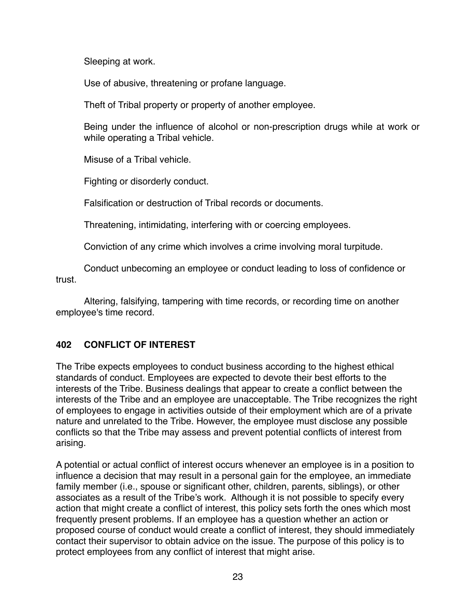Sleeping at work.

Use of abusive, threatening or profane language.

Theft of Tribal property or property of another employee.

Being under the influence of alcohol or non-prescription drugs while at work or while operating a Tribal vehicle.

Misuse of a Tribal vehicle.

Fighting or disorderly conduct.

Falsification or destruction of Tribal records or documents.

Threatening, intimidating, interfering with or coercing employees.

Conviction of any crime which involves a crime involving moral turpitude.

Conduct unbecoming an employee or conduct leading to loss of confidence or trust.

Altering, falsifying, tampering with time records, or recording time on another employee's time record.

# **402 CONFLICT OF INTEREST**

The Tribe expects employees to conduct business according to the highest ethical standards of conduct. Employees are expected to devote their best efforts to the interests of the Tribe. Business dealings that appear to create a conflict between the interests of the Tribe and an employee are unacceptable. The Tribe recognizes the right of employees to engage in activities outside of their employment which are of a private nature and unrelated to the Tribe. However, the employee must disclose any possible conflicts so that the Tribe may assess and prevent potential conflicts of interest from arising.

A potential or actual conflict of interest occurs whenever an employee is in a position to influence a decision that may result in a personal gain for the employee, an immediate family member (i.e., spouse or significant other, children, parents, siblings), or other associates as a result of the Tribe's work. Although it is not possible to specify every action that might create a conflict of interest, this policy sets forth the ones which most frequently present problems. If an employee has a question whether an action or proposed course of conduct would create a conflict of interest, they should immediately contact their supervisor to obtain advice on the issue. The purpose of this policy is to protect employees from any conflict of interest that might arise.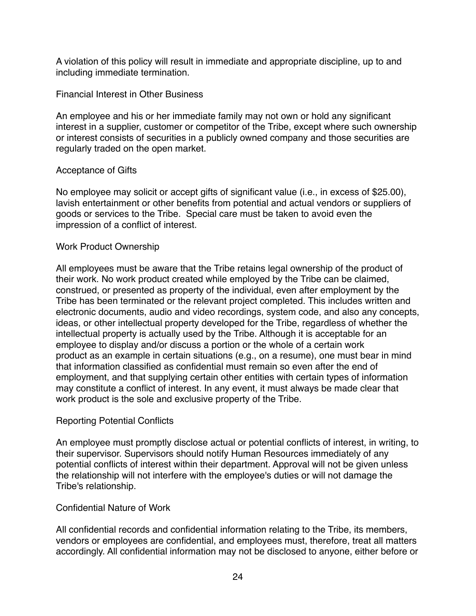A violation of this policy will result in immediate and appropriate discipline, up to and including immediate termination.

#### Financial Interest in Other Business

An employee and his or her immediate family may not own or hold any significant interest in a supplier, customer or competitor of the Tribe, except where such ownership or interest consists of securities in a publicly owned company and those securities are regularly traded on the open market.

#### Acceptance of Gifts

No employee may solicit or accept gifts of significant value (i.e., in excess of \$25.00), lavish entertainment or other benefits from potential and actual vendors or suppliers of goods or services to the Tribe. Special care must be taken to avoid even the impression of a conflict of interest.

#### Work Product Ownership

All employees must be aware that the Tribe retains legal ownership of the product of their work. No work product created while employed by the Tribe can be claimed, construed, or presented as property of the individual, even after employment by the Tribe has been terminated or the relevant project completed. This includes written and electronic documents, audio and video recordings, system code, and also any concepts, ideas, or other intellectual property developed for the Tribe, regardless of whether the intellectual property is actually used by the Tribe. Although it is acceptable for an employee to display and/or discuss a portion or the whole of a certain work product as an example in certain situations (e.g., on a resume), one must bear in mind that information classified as confidential must remain so even after the end of employment, and that supplying certain other entities with certain types of information may constitute a conflict of interest. In any event, it must always be made clear that work product is the sole and exclusive property of the Tribe.

# Reporting Potential Conflicts

An employee must promptly disclose actual or potential conflicts of interest, in writing, to their supervisor. Supervisors should notify Human Resources immediately of any potential conflicts of interest within their department. Approval will not be given unless the relationship will not interfere with the employee's duties or will not damage the Tribe's relationship.

#### Confidential Nature of Work

All confidential records and confidential information relating to the Tribe, its members, vendors or employees are confidential, and employees must, therefore, treat all matters accordingly. All confidential information may not be disclosed to anyone, either before or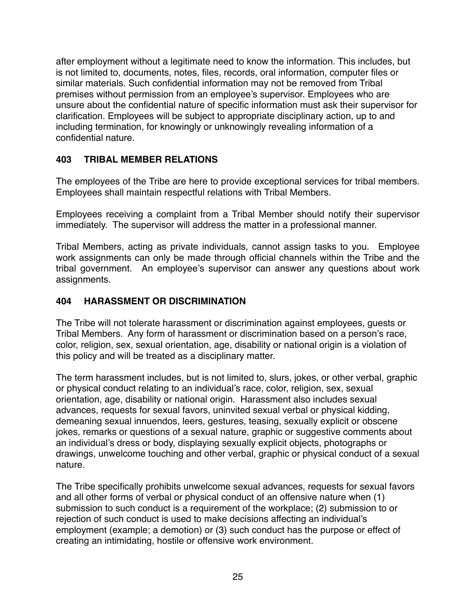after employment without a legitimate need to know the information. This includes, but is not limited to, documents, notes, files, records, oral information, computer files or similar materials. Such confidential information may not be removed from Tribal premises without permission from an employee's supervisor. Employees who are unsure about the confidential nature of specific information must ask their supervisor for clarification. Employees will be subject to appropriate disciplinary action, up to and including termination, for knowingly or unknowingly revealing information of a confidential nature.

# **403 TRIBAL MEMBER RELATIONS**

The employees of the Tribe are here to provide exceptional services for tribal members. Employees shall maintain respectful relations with Tribal Members.

Employees receiving a complaint from a Tribal Member should notify their supervisor immediately. The supervisor will address the matter in a professional manner.

Tribal Members, acting as private individuals, cannot assign tasks to you. Employee work assignments can only be made through official channels within the Tribe and the tribal government. An employee's supervisor can answer any questions about work assignments.

# **404 HARASSMENT OR DISCRIMINATION**

The Tribe will not tolerate harassment or discrimination against employees, guests or Tribal Members. Any form of harassment or discrimination based on a person's race, color, religion, sex, sexual orientation, age, disability or national origin is a violation of this policy and will be treated as a disciplinary matter.

The term harassment includes, but is not limited to, slurs, jokes, or other verbal, graphic or physical conduct relating to an individual's race, color, religion, sex, sexual orientation, age, disability or national origin. Harassment also includes sexual advances, requests for sexual favors, uninvited sexual verbal or physical kidding, demeaning sexual innuendos, leers, gestures, teasing, sexually explicit or obscene jokes, remarks or questions of a sexual nature, graphic or suggestive comments about an individual's dress or body, displaying sexually explicit objects, photographs or drawings, unwelcome touching and other verbal, graphic or physical conduct of a sexual nature.

The Tribe specifically prohibits unwelcome sexual advances, requests for sexual favors and all other forms of verbal or physical conduct of an offensive nature when (1) submission to such conduct is a requirement of the workplace; (2) submission to or rejection of such conduct is used to make decisions affecting an individual's employment (example; a demotion) or (3) such conduct has the purpose or effect of creating an intimidating, hostile or offensive work environment.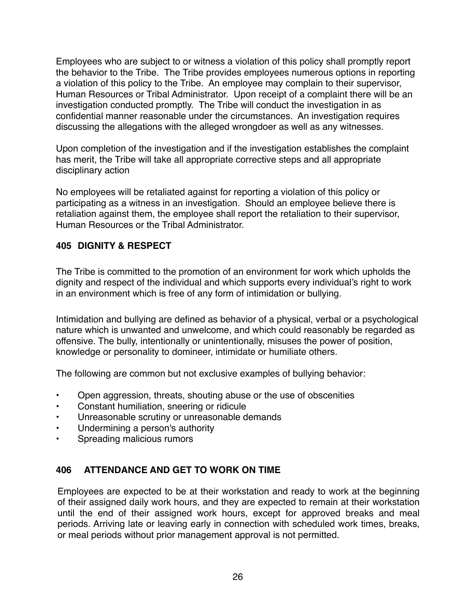Employees who are subject to or witness a violation of this policy shall promptly report the behavior to the Tribe. The Tribe provides employees numerous options in reporting a violation of this policy to the Tribe. An employee may complain to their supervisor, Human Resources or Tribal Administrator. Upon receipt of a complaint there will be an investigation conducted promptly. The Tribe will conduct the investigation in as confidential manner reasonable under the circumstances. An investigation requires discussing the allegations with the alleged wrongdoer as well as any witnesses.

Upon completion of the investigation and if the investigation establishes the complaint has merit, the Tribe will take all appropriate corrective steps and all appropriate disciplinary action

No employees will be retaliated against for reporting a violation of this policy or participating as a witness in an investigation. Should an employee believe there is retaliation against them, the employee shall report the retaliation to their supervisor, Human Resources or the Tribal Administrator.

# **405 DIGNITY & RESPECT**

The Tribe is committed to the promotion of an environment for work which upholds the dignity and respect of the individual and which supports every individual's right to work in an environment which is free of any form of intimidation or bullying.

Intimidation and bullying are defined as behavior of a physical, verbal or a psychological nature which is unwanted and unwelcome, and which could reasonably be regarded as offensive. The bully, intentionally or unintentionally, misuses the power of position, knowledge or personality to domineer, intimidate or humiliate others.

The following are common but not exclusive examples of bullying behavior:

- Open aggression, threats, shouting abuse or the use of obscenities
- Constant humiliation, sneering or ridicule
- Unreasonable scrutiny or unreasonable demands
- Undermining a person's authority
- Spreading malicious rumors

# **406 ATTENDANCE AND GET TO WORK ON TIME**

Employees are expected to be at their workstation and ready to work at the beginning of their assigned daily work hours, and they are expected to remain at their workstation until the end of their assigned work hours, except for approved breaks and meal periods. Arriving late or leaving early in connection with scheduled work times, breaks, or meal periods without prior management approval is not permitted.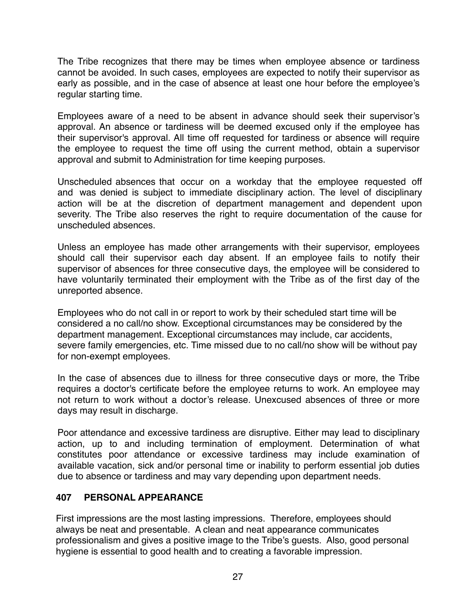The Tribe recognizes that there may be times when employee absence or tardiness cannot be avoided. In such cases, employees are expected to notify their supervisor as early as possible, and in the case of absence at least one hour before the employee's regular starting time.

Employees aware of a need to be absent in advance should seek their supervisor's approval. An absence or tardiness will be deemed excused only if the employee has their supervisor's approval. All time off requested for tardiness or absence will require the employee to request the time off using the current method, obtain a supervisor approval and submit to Administration for time keeping purposes.

Unscheduled absences that occur on a workday that the employee requested off and was denied is subject to immediate disciplinary action. The level of disciplinary action will be at the discretion of department management and dependent upon severity. The Tribe also reserves the right to require documentation of the cause for unscheduled absences.

Unless an employee has made other arrangements with their supervisor, employees should call their supervisor each day absent. If an employee fails to notify their supervisor of absences for three consecutive days, the employee will be considered to have voluntarily terminated their employment with the Tribe as of the first day of the unreported absence.

Employees who do not call in or report to work by their scheduled start time will be considered a no call/no show. Exceptional circumstances may be considered by the department management. Exceptional circumstances may include, car accidents, severe family emergencies, etc. Time missed due to no call/no show will be without pay for non-exempt employees.

In the case of absences due to illness for three consecutive days or more, the Tribe requires a doctor's certificate before the employee returns to work. An employee may not return to work without a doctor's release. Unexcused absences of three or more days may result in discharge.

Poor attendance and excessive tardiness are disruptive. Either may lead to disciplinary action, up to and including termination of employment. Determination of what constitutes poor attendance or excessive tardiness may include examination of available vacation, sick and/or personal time or inability to perform essential job duties due to absence or tardiness and may vary depending upon department needs.

# **407 PERSONAL APPEARANCE**

First impressions are the most lasting impressions. Therefore, employees should always be neat and presentable. A clean and neat appearance communicates professionalism and gives a positive image to the Tribe's guests. Also, good personal hygiene is essential to good health and to creating a favorable impression.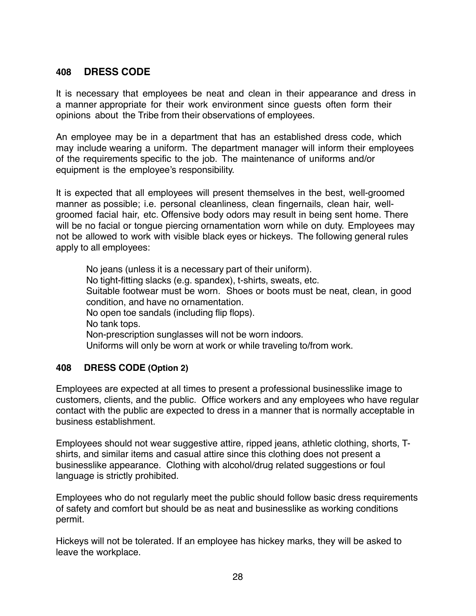# **408 DRESS CODE**

It is necessary that employees be neat and clean in their appearance and dress in a manner appropriate for their work environment since guests often form their opinions about the Tribe from their observations of employees.

An employee may be in a department that has an established dress code, which may include wearing a uniform. The department manager will inform their employees of the requirements specific to the job. The maintenance of uniforms and/or equipment is the employee's responsibility.

It is expected that all employees will present themselves in the best, well-groomed manner as possible; i.e. personal cleanliness, clean fingernails, clean hair, wellgroomed facial hair, etc. Offensive body odors may result in being sent home. There will be no facial or tongue piercing ornamentation worn while on duty. Employees may not be allowed to work with visible black eyes or hickeys. The following general rules apply to all employees:

No jeans (unless it is a necessary part of their uniform). No tight-fitting slacks (e.g. spandex), t-shirts, sweats, etc. Suitable footwear must be worn. Shoes or boots must be neat, clean, in good condition, and have no ornamentation. No open toe sandals (including flip flops). No tank tops. Non-prescription sunglasses will not be worn indoors. Uniforms will only be worn at work or while traveling to/from work.

# **408 DRESS CODE (Option 2)**

Employees are expected at all times to present a professional businesslike image to customers, clients, and the public. Office workers and any employees who have regular contact with the public are expected to dress in a manner that is normally acceptable in business establishment.

Employees should not wear suggestive attire, ripped jeans, athletic clothing, shorts, Tshirts, and similar items and casual attire since this clothing does not present a businesslike appearance. Clothing with alcohol/drug related suggestions or foul language is strictly prohibited.

Employees who do not regularly meet the public should follow basic dress requirements of safety and comfort but should be as neat and businesslike as working conditions permit.

Hickeys will not be tolerated. If an employee has hickey marks, they will be asked to leave the workplace.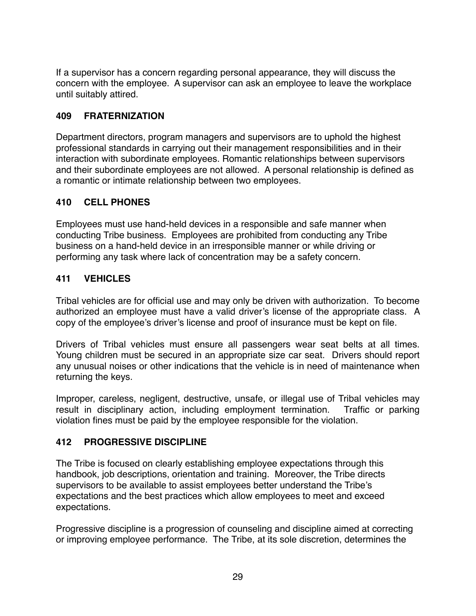If a supervisor has a concern regarding personal appearance, they will discuss the concern with the employee. A supervisor can ask an employee to leave the workplace until suitably attired.

#### **409 FRATERNIZATION**

Department directors, program managers and supervisors are to uphold the highest professional standards in carrying out their management responsibilities and in their interaction with subordinate employees. Romantic relationships between supervisors and their subordinate employees are not allowed. A personal relationship is defined as a romantic or intimate relationship between two employees.

# **410 CELL PHONES**

Employees must use hand-held devices in a responsible and safe manner when conducting Tribe business. Employees are prohibited from conducting any Tribe business on a hand-held device in an irresponsible manner or while driving or performing any task where lack of concentration may be a safety concern.

#### **411 VEHICLES**

Tribal vehicles are for official use and may only be driven with authorization. To become authorized an employee must have a valid driver's license of the appropriate class. A copy of the employee's driver's license and proof of insurance must be kept on file.

Drivers of Tribal vehicles must ensure all passengers wear seat belts at all times. Young children must be secured in an appropriate size car seat. Drivers should report any unusual noises or other indications that the vehicle is in need of maintenance when returning the keys.

Improper, careless, negligent, destructive, unsafe, or illegal use of Tribal vehicles may result in disciplinary action, including employment termination. Traffic or parking violation fines must be paid by the employee responsible for the violation.

#### **412 PROGRESSIVE DISCIPLINE**

The Tribe is focused on clearly establishing employee expectations through this handbook, job descriptions, orientation and training. Moreover, the Tribe directs supervisors to be available to assist employees better understand the Tribe's expectations and the best practices which allow employees to meet and exceed expectations.

Progressive discipline is a progression of counseling and discipline aimed at correcting or improving employee performance. The Tribe, at its sole discretion, determines the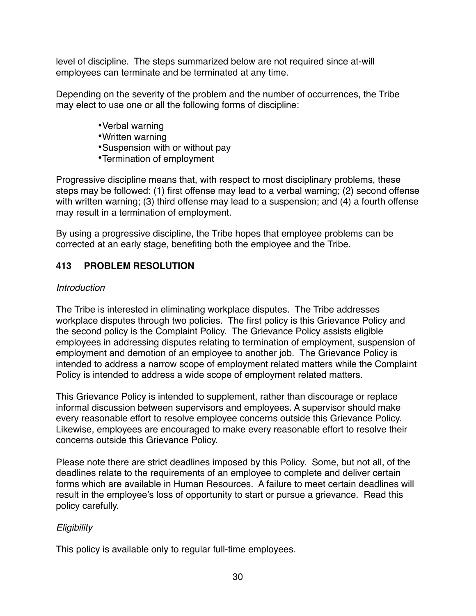level of discipline. The steps summarized below are not required since at-will employees can terminate and be terminated at any time.

Depending on the severity of the problem and the number of occurrences, the Tribe may elect to use one or all the following forms of discipline:

- •Verbal warning
- •Written warning
- •Suspension with or without pay
- •Termination of employment

Progressive discipline means that, with respect to most disciplinary problems, these steps may be followed: (1) first offense may lead to a verbal warning; (2) second offense with written warning; (3) third offense may lead to a suspension; and (4) a fourth offense may result in a termination of employment.

By using a progressive discipline, the Tribe hopes that employee problems can be corrected at an early stage, benefiting both the employee and the Tribe.

# **413 PROBLEM RESOLUTION**

#### *Introduction*

The Tribe is interested in eliminating workplace disputes. The Tribe addresses workplace disputes through two policies. The first policy is this Grievance Policy and the second policy is the Complaint Policy. The Grievance Policy assists eligible employees in addressing disputes relating to termination of employment, suspension of employment and demotion of an employee to another job. The Grievance Policy is intended to address a narrow scope of employment related matters while the Complaint Policy is intended to address a wide scope of employment related matters.

This Grievance Policy is intended to supplement, rather than discourage or replace informal discussion between supervisors and employees. A supervisor should make every reasonable effort to resolve employee concerns outside this Grievance Policy. Likewise, employees are encouraged to make every reasonable effort to resolve their concerns outside this Grievance Policy.

Please note there are strict deadlines imposed by this Policy. Some, but not all, of the deadlines relate to the requirements of an employee to complete and deliver certain forms which are available in Human Resources. A failure to meet certain deadlines will result in the employee's loss of opportunity to start or pursue a grievance. Read this policy carefully.

# *Eligibility*

This policy is available only to regular full-time employees.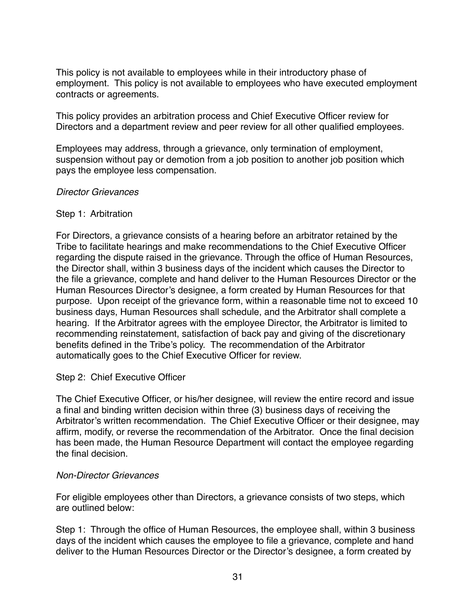This policy is not available to employees while in their introductory phase of employment. This policy is not available to employees who have executed employment contracts or agreements.

This policy provides an arbitration process and Chief Executive Officer review for Directors and a department review and peer review for all other qualified employees.

Employees may address, through a grievance, only termination of employment, suspension without pay or demotion from a job position to another job position which pays the employee less compensation.

#### *Director Grievances*

#### Step 1: Arbitration

For Directors, a grievance consists of a hearing before an arbitrator retained by the Tribe to facilitate hearings and make recommendations to the Chief Executive Officer regarding the dispute raised in the grievance. Through the office of Human Resources, the Director shall, within 3 business days of the incident which causes the Director to the file a grievance, complete and hand deliver to the Human Resources Director or the Human Resources Director's designee, a form created by Human Resources for that purpose. Upon receipt of the grievance form, within a reasonable time not to exceed 10 business days, Human Resources shall schedule, and the Arbitrator shall complete a hearing. If the Arbitrator agrees with the employee Director, the Arbitrator is limited to recommending reinstatement, satisfaction of back pay and giving of the discretionary benefits defined in the Tribe's policy. The recommendation of the Arbitrator automatically goes to the Chief Executive Officer for review.

#### Step 2: Chief Executive Officer

The Chief Executive Officer, or his/her designee, will review the entire record and issue a final and binding written decision within three (3) business days of receiving the Arbitrator's written recommendation. The Chief Executive Officer or their designee, may affirm, modify, or reverse the recommendation of the Arbitrator. Once the final decision has been made, the Human Resource Department will contact the employee regarding the final decision.

#### *Non-Director Grievances*

For eligible employees other than Directors, a grievance consists of two steps, which are outlined below:

Step 1: Through the office of Human Resources, the employee shall, within 3 business days of the incident which causes the employee to file a grievance, complete and hand deliver to the Human Resources Director or the Director's designee, a form created by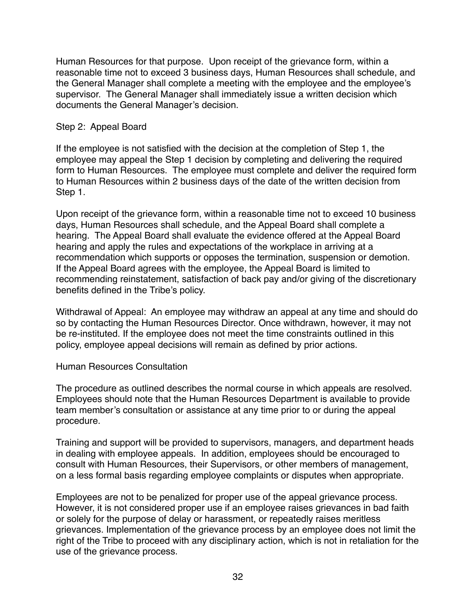Human Resources for that purpose. Upon receipt of the grievance form, within a reasonable time not to exceed 3 business days, Human Resources shall schedule, and the General Manager shall complete a meeting with the employee and the employee's supervisor. The General Manager shall immediately issue a written decision which documents the General Manager's decision.

#### Step 2: Appeal Board

If the employee is not satisfied with the decision at the completion of Step 1, the employee may appeal the Step 1 decision by completing and delivering the required form to Human Resources. The employee must complete and deliver the required form to Human Resources within 2 business days of the date of the written decision from Step 1.

Upon receipt of the grievance form, within a reasonable time not to exceed 10 business days, Human Resources shall schedule, and the Appeal Board shall complete a hearing. The Appeal Board shall evaluate the evidence offered at the Appeal Board hearing and apply the rules and expectations of the workplace in arriving at a recommendation which supports or opposes the termination, suspension or demotion. If the Appeal Board agrees with the employee, the Appeal Board is limited to recommending reinstatement, satisfaction of back pay and/or giving of the discretionary benefits defined in the Tribe's policy.

Withdrawal of Appeal: An employee may withdraw an appeal at any time and should do so by contacting the Human Resources Director. Once withdrawn, however, it may not be re-instituted. If the employee does not meet the time constraints outlined in this policy, employee appeal decisions will remain as defined by prior actions.

#### Human Resources Consultation

The procedure as outlined describes the normal course in which appeals are resolved. Employees should note that the Human Resources Department is available to provide team member's consultation or assistance at any time prior to or during the appeal procedure.

Training and support will be provided to supervisors, managers, and department heads in dealing with employee appeals. In addition, employees should be encouraged to consult with Human Resources, their Supervisors, or other members of management, on a less formal basis regarding employee complaints or disputes when appropriate.

Employees are not to be penalized for proper use of the appeal grievance process. However, it is not considered proper use if an employee raises grievances in bad faith or solely for the purpose of delay or harassment, or repeatedly raises meritless grievances. Implementation of the grievance process by an employee does not limit the right of the Tribe to proceed with any disciplinary action, which is not in retaliation for the use of the grievance process.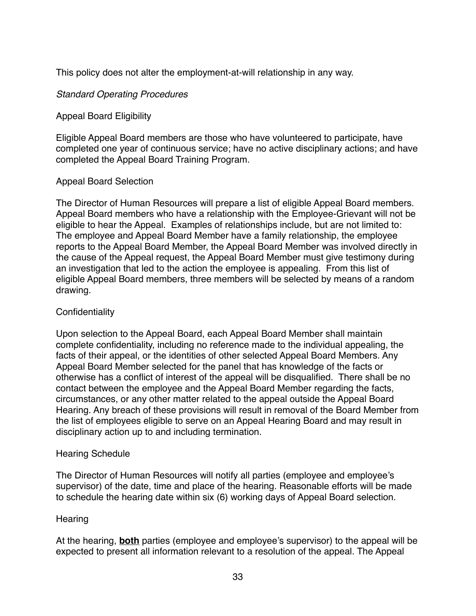This policy does not alter the employment-at-will relationship in any way.

#### *Standard Operating Procedures*

#### Appeal Board Eligibility

Eligible Appeal Board members are those who have volunteered to participate, have completed one year of continuous service; have no active disciplinary actions; and have completed the Appeal Board Training Program.

#### Appeal Board Selection

The Director of Human Resources will prepare a list of eligible Appeal Board members. Appeal Board members who have a relationship with the Employee-Grievant will not be eligible to hear the Appeal. Examples of relationships include, but are not limited to: The employee and Appeal Board Member have a family relationship, the employee reports to the Appeal Board Member, the Appeal Board Member was involved directly in the cause of the Appeal request, the Appeal Board Member must give testimony during an investigation that led to the action the employee is appealing. From this list of eligible Appeal Board members, three members will be selected by means of a random drawing.

#### **Confidentiality**

Upon selection to the Appeal Board, each Appeal Board Member shall maintain complete confidentiality, including no reference made to the individual appealing, the facts of their appeal, or the identities of other selected Appeal Board Members. Any Appeal Board Member selected for the panel that has knowledge of the facts or otherwise has a conflict of interest of the appeal will be disqualified. There shall be no contact between the employee and the Appeal Board Member regarding the facts, circumstances, or any other matter related to the appeal outside the Appeal Board Hearing. Any breach of these provisions will result in removal of the Board Member from the list of employees eligible to serve on an Appeal Hearing Board and may result in disciplinary action up to and including termination.

#### Hearing Schedule

The Director of Human Resources will notify all parties (employee and employee's supervisor) of the date, time and place of the hearing. Reasonable efforts will be made to schedule the hearing date within six (6) working days of Appeal Board selection.

#### **Hearing**

At the hearing, **both** parties (employee and employee's supervisor) to the appeal will be expected to present all information relevant to a resolution of the appeal. The Appeal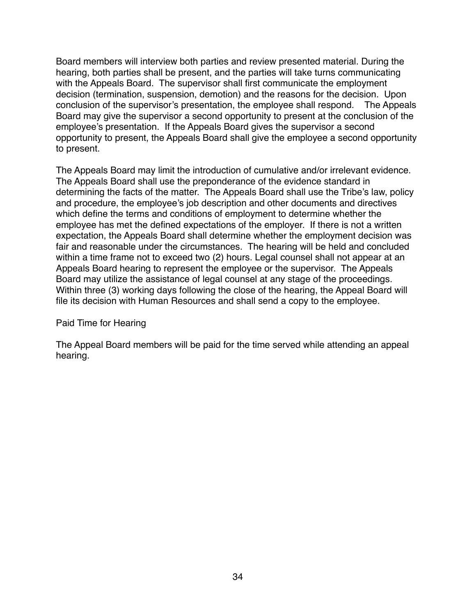Board members will interview both parties and review presented material. During the hearing, both parties shall be present, and the parties will take turns communicating with the Appeals Board. The supervisor shall first communicate the employment decision (termination, suspension, demotion) and the reasons for the decision. Upon conclusion of the supervisor's presentation, the employee shall respond. The Appeals Board may give the supervisor a second opportunity to present at the conclusion of the employee's presentation. If the Appeals Board gives the supervisor a second opportunity to present, the Appeals Board shall give the employee a second opportunity to present.

The Appeals Board may limit the introduction of cumulative and/or irrelevant evidence. The Appeals Board shall use the preponderance of the evidence standard in determining the facts of the matter. The Appeals Board shall use the Tribe's law, policy and procedure, the employee's job description and other documents and directives which define the terms and conditions of employment to determine whether the employee has met the defined expectations of the employer. If there is not a written expectation, the Appeals Board shall determine whether the employment decision was fair and reasonable under the circumstances. The hearing will be held and concluded within a time frame not to exceed two (2) hours. Legal counsel shall not appear at an Appeals Board hearing to represent the employee or the supervisor. The Appeals Board may utilize the assistance of legal counsel at any stage of the proceedings. Within three (3) working days following the close of the hearing, the Appeal Board will file its decision with Human Resources and shall send a copy to the employee.

#### Paid Time for Hearing

The Appeal Board members will be paid for the time served while attending an appeal hearing.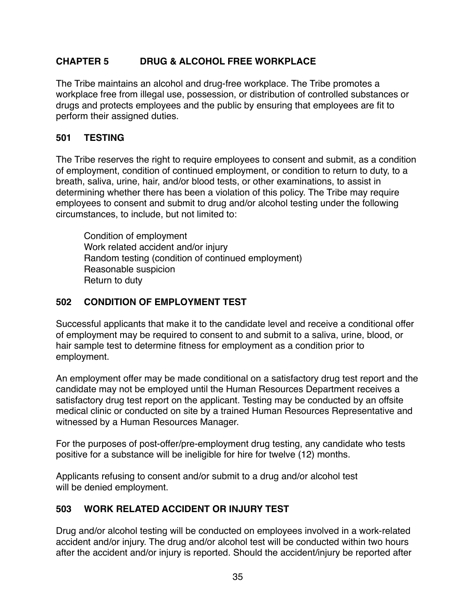# **CHAPTER 5 DRUG & ALCOHOL FREE WORKPLACE**

The Tribe maintains an alcohol and drug-free workplace. The Tribe promotes a workplace free from illegal use, possession, or distribution of controlled substances or drugs and protects employees and the public by ensuring that employees are fit to perform their assigned duties.

#### **501 TESTING**

The Tribe reserves the right to require employees to consent and submit, as a condition of employment, condition of continued employment, or condition to return to duty, to a breath, saliva, urine, hair, and/or blood tests, or other examinations, to assist in determining whether there has been a violation of this policy. The Tribe may require employees to consent and submit to drug and/or alcohol testing under the following circumstances, to include, but not limited to:

Condition of employment Work related accident and/or injury Random testing (condition of continued employment) Reasonable suspicion Return to duty

#### **502 CONDITION OF EMPLOYMENT TEST**

Successful applicants that make it to the candidate level and receive a conditional offer of employment may be required to consent to and submit to a saliva, urine, blood, or hair sample test to determine fitness for employment as a condition prior to employment.

An employment offer may be made conditional on a satisfactory drug test report and the candidate may not be employed until the Human Resources Department receives a satisfactory drug test report on the applicant. Testing may be conducted by an offsite medical clinic or conducted on site by a trained Human Resources Representative and witnessed by a Human Resources Manager.

For the purposes of post-offer/pre-employment drug testing, any candidate who tests positive for a substance will be ineligible for hire for twelve (12) months.

Applicants refusing to consent and/or submit to a drug and/or alcohol test will be denied employment.

# **503 WORK RELATED ACCIDENT OR INJURY TEST**

Drug and/or alcohol testing will be conducted on employees involved in a work-related accident and/or injury. The drug and/or alcohol test will be conducted within two hours after the accident and/or injury is reported. Should the accident/injury be reported after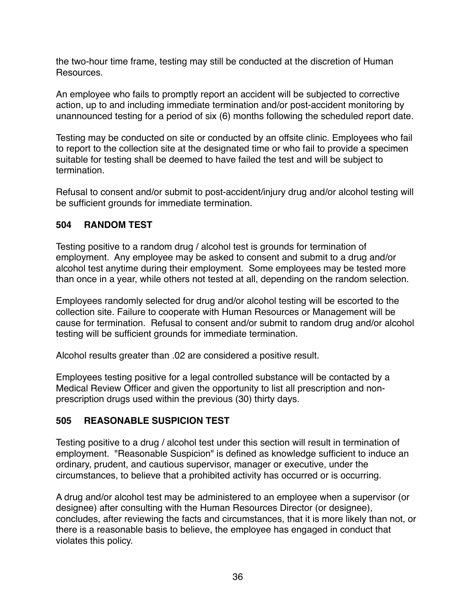the two-hour time frame, testing may still be conducted at the discretion of Human Resources.

An employee who fails to promptly report an accident will be subjected to corrective action, up to and including immediate termination and/or post-accident monitoring by unannounced testing for a period of six (6) months following the scheduled report date.

Testing may be conducted on site or conducted by an offsite clinic. Employees who fail to report to the collection site at the designated time or who fail to provide a specimen suitable for testing shall be deemed to have failed the test and will be subject to termination.

Refusal to consent and/or submit to post-accident/injury drug and/or alcohol testing will be sufficient grounds for immediate termination.

#### **504 RANDOM TEST**

Testing positive to a random drug / alcohol test is grounds for termination of employment. Any employee may be asked to consent and submit to a drug and/or alcohol test anytime during their employment. Some employees may be tested more than once in a year, while others not tested at all, depending on the random selection.

Employees randomly selected for drug and/or alcohol testing will be escorted to the collection site. Failure to cooperate with Human Resources or Management will be cause for termination. Refusal to consent and/or submit to random drug and/or alcohol testing will be sufficient grounds for immediate termination.

Alcohol results greater than .02 are considered a positive result.

Employees testing positive for a legal controlled substance will be contacted by a Medical Review Officer and given the opportunity to list all prescription and nonprescription drugs used within the previous (30) thirty days.

# **505 REASONABLE SUSPICION TEST**

Testing positive to a drug / alcohol test under this section will result in termination of employment. "Reasonable Suspicion" is defined as knowledge sufficient to induce an ordinary, prudent, and cautious supervisor, manager or executive, under the circumstances, to believe that a prohibited activity has occurred or is occurring.

A drug and/or alcohol test may be administered to an employee when a supervisor (or designee) after consulting with the Human Resources Director (or designee), concludes, after reviewing the facts and circumstances, that it is more likely than not, or there is a reasonable basis to believe, the employee has engaged in conduct that violates this policy.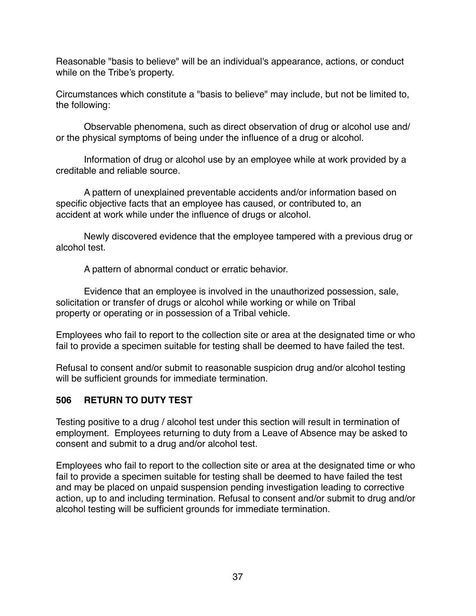Reasonable "basis to believe" will be an individual's appearance, actions, or conduct while on the Tribe's property.

Circumstances which constitute a "basis to believe" may include, but not be limited to, the following:

Observable phenomena, such as direct observation of drug or alcohol use and/ or the physical symptoms of being under the influence of a drug or alcohol.

Information of drug or alcohol use by an employee while at work provided by a creditable and reliable source.

A pattern of unexplained preventable accidents and/or information based on specific objective facts that an employee has caused, or contributed to, an accident at work while under the influence of drugs or alcohol.

Newly discovered evidence that the employee tampered with a previous drug or alcohol test.

A pattern of abnormal conduct or erratic behavior.

Evidence that an employee is involved in the unauthorized possession, sale, solicitation or transfer of drugs or alcohol while working or while on Tribal property or operating or in possession of a Tribal vehicle.

Employees who fail to report to the collection site or area at the designated time or who fail to provide a specimen suitable for testing shall be deemed to have failed the test.

Refusal to consent and/or submit to reasonable suspicion drug and/or alcohol testing will be sufficient grounds for immediate termination.

# **506 RETURN TO DUTY TEST**

Testing positive to a drug / alcohol test under this section will result in termination of employment. Employees returning to duty from a Leave of Absence may be asked to consent and submit to a drug and/or alcohol test.

Employees who fail to report to the collection site or area at the designated time or who fail to provide a specimen suitable for testing shall be deemed to have failed the test and may be placed on unpaid suspension pending investigation leading to corrective action, up to and including termination. Refusal to consent and/or submit to drug and/or alcohol testing will be sufficient grounds for immediate termination.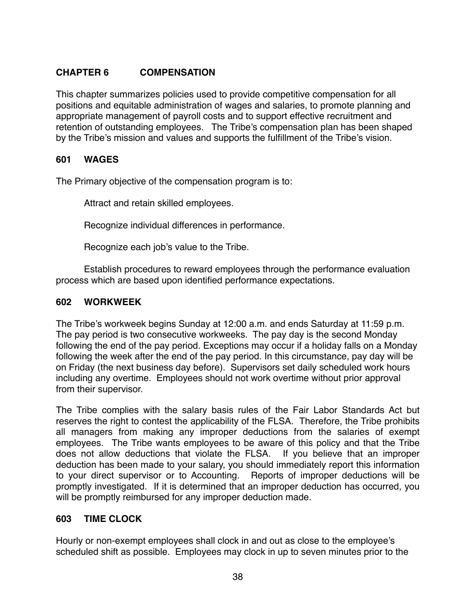# **CHAPTER 6 COMPENSATION**

This chapter summarizes policies used to provide competitive compensation for all positions and equitable administration of wages and salaries, to promote planning and appropriate management of payroll costs and to support effective recruitment and retention of outstanding employees. The Tribe's compensation plan has been shaped by the Tribe's mission and values and supports the fulfillment of the Tribe's vision.

#### **601 WAGES**

The Primary objective of the compensation program is to:

Attract and retain skilled employees.

Recognize individual differences in performance.

Recognize each job's value to the Tribe.

Establish procedures to reward employees through the performance evaluation process which are based upon identified performance expectations.

#### **602 WORKWEEK**

The Tribe's workweek begins Sunday at 12:00 a.m. and ends Saturday at 11:59 p.m. The pay period is two consecutive workweeks. The pay day is the second Monday following the end of the pay period. Exceptions may occur if a holiday falls on a Monday following the week after the end of the pay period. In this circumstance, pay day will be on Friday (the next business day before). Supervisors set daily scheduled work hours including any overtime. Employees should not work overtime without prior approval from their supervisor.

The Tribe complies with the salary basis rules of the Fair Labor Standards Act but reserves the right to contest the applicability of the FLSA. Therefore, the Tribe prohibits all managers from making any improper deductions from the salaries of exempt employees. The Tribe wants employees to be aware of this policy and that the Tribe does not allow deductions that violate the FLSA. If you believe that an improper deduction has been made to your salary, you should immediately report this information to your direct supervisor or to Accounting. Reports of improper deductions will be promptly investigated. If it is determined that an improper deduction has occurred, you will be promptly reimbursed for any improper deduction made.

#### **603 TIME CLOCK**

Hourly or non-exempt employees shall clock in and out as close to the employee's scheduled shift as possible. Employees may clock in up to seven minutes prior to the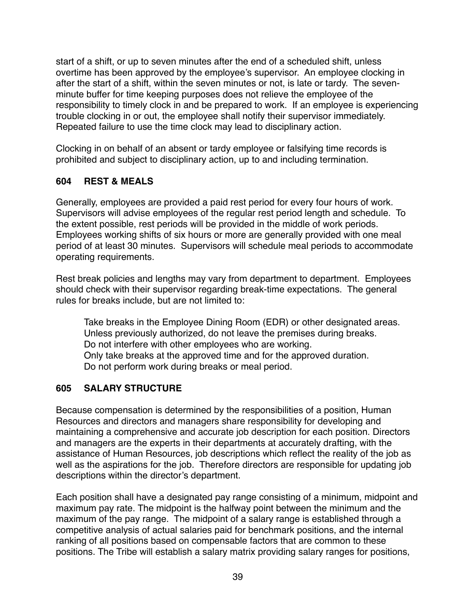start of a shift, or up to seven minutes after the end of a scheduled shift, unless overtime has been approved by the employee's supervisor. An employee clocking in after the start of a shift, within the seven minutes or not, is late or tardy. The sevenminute buffer for time keeping purposes does not relieve the employee of the responsibility to timely clock in and be prepared to work. If an employee is experiencing trouble clocking in or out, the employee shall notify their supervisor immediately. Repeated failure to use the time clock may lead to disciplinary action.

Clocking in on behalf of an absent or tardy employee or falsifying time records is prohibited and subject to disciplinary action, up to and including termination.

# **604 REST & MEALS**

Generally, employees are provided a paid rest period for every four hours of work. Supervisors will advise employees of the regular rest period length and schedule. To the extent possible, rest periods will be provided in the middle of work periods. Employees working shifts of six hours or more are generally provided with one meal period of at least 30 minutes. Supervisors will schedule meal periods to accommodate operating requirements.

Rest break policies and lengths may vary from department to department. Employees should check with their supervisor regarding break-time expectations. The general rules for breaks include, but are not limited to:

Take breaks in the Employee Dining Room (EDR) or other designated areas. Unless previously authorized, do not leave the premises during breaks. Do not interfere with other employees who are working. Only take breaks at the approved time and for the approved duration. Do not perform work during breaks or meal period.

# **605 SALARY STRUCTURE**

Because compensation is determined by the responsibilities of a position, Human Resources and directors and managers share responsibility for developing and maintaining a comprehensive and accurate job description for each position. Directors and managers are the experts in their departments at accurately drafting, with the assistance of Human Resources, job descriptions which reflect the reality of the job as well as the aspirations for the job. Therefore directors are responsible for updating job descriptions within the director's department.

Each position shall have a designated pay range consisting of a minimum, midpoint and maximum pay rate. The midpoint is the halfway point between the minimum and the maximum of the pay range. The midpoint of a salary range is established through a competitive analysis of actual salaries paid for benchmark positions, and the internal ranking of all positions based on compensable factors that are common to these positions. The Tribe will establish a salary matrix providing salary ranges for positions,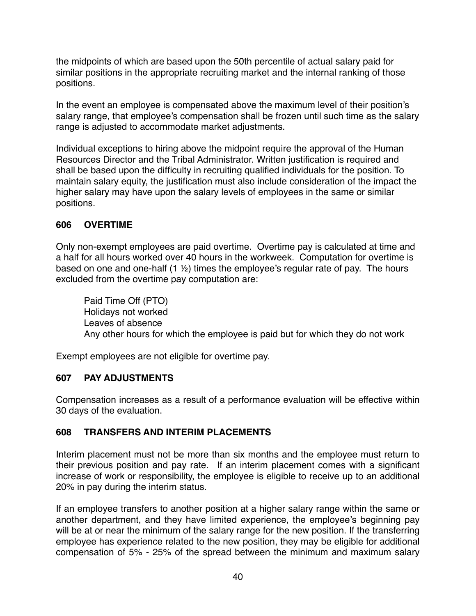the midpoints of which are based upon the 50th percentile of actual salary paid for similar positions in the appropriate recruiting market and the internal ranking of those positions.

In the event an employee is compensated above the maximum level of their position's salary range, that employee's compensation shall be frozen until such time as the salary range is adjusted to accommodate market adjustments.

Individual exceptions to hiring above the midpoint require the approval of the Human Resources Director and the Tribal Administrator. Written justification is required and shall be based upon the difficulty in recruiting qualified individuals for the position. To maintain salary equity, the justification must also include consideration of the impact the higher salary may have upon the salary levels of employees in the same or similar positions.

# **606 OVERTIME**

Only non-exempt employees are paid overtime. Overtime pay is calculated at time and a half for all hours worked over 40 hours in the workweek. Computation for overtime is based on one and one-half (1 ½) times the employee's regular rate of pay. The hours excluded from the overtime pay computation are:

Paid Time Off (PTO) Holidays not worked Leaves of absence Any other hours for which the employee is paid but for which they do not work

Exempt employees are not eligible for overtime pay.

# **607 PAY ADJUSTMENTS**

Compensation increases as a result of a performance evaluation will be effective within 30 days of the evaluation.

# **608 TRANSFERS AND INTERIM PLACEMENTS**

Interim placement must not be more than six months and the employee must return to their previous position and pay rate. If an interim placement comes with a significant increase of work or responsibility, the employee is eligible to receive up to an additional 20% in pay during the interim status.

If an employee transfers to another position at a higher salary range within the same or another department, and they have limited experience, the employee's beginning pay will be at or near the minimum of the salary range for the new position. If the transferring employee has experience related to the new position, they may be eligible for additional compensation of 5% - 25% of the spread between the minimum and maximum salary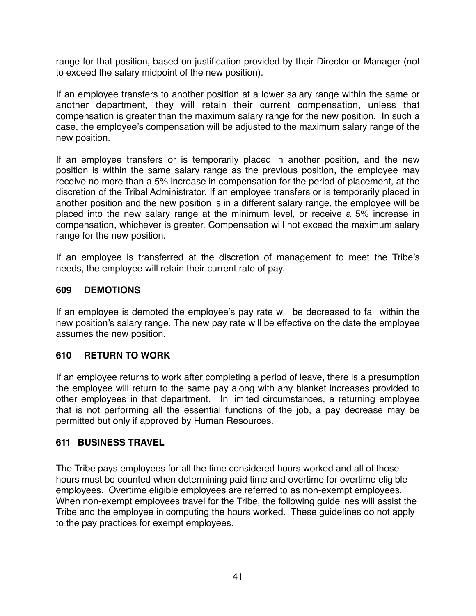range for that position, based on justification provided by their Director or Manager (not to exceed the salary midpoint of the new position).

If an employee transfers to another position at a lower salary range within the same or another department, they will retain their current compensation, unless that compensation is greater than the maximum salary range for the new position. In such a case, the employee's compensation will be adjusted to the maximum salary range of the new position.

If an employee transfers or is temporarily placed in another position, and the new position is within the same salary range as the previous position, the employee may receive no more than a 5% increase in compensation for the period of placement, at the discretion of the Tribal Administrator. If an employee transfers or is temporarily placed in another position and the new position is in a different salary range, the employee will be placed into the new salary range at the minimum level, or receive a 5% increase in compensation, whichever is greater. Compensation will not exceed the maximum salary range for the new position.

If an employee is transferred at the discretion of management to meet the Tribe's needs, the employee will retain their current rate of pay.

#### **609 DEMOTIONS**

If an employee is demoted the employee's pay rate will be decreased to fall within the new position's salary range. The new pay rate will be effective on the date the employee assumes the new position.

# **610 RETURN TO WORK**

If an employee returns to work after completing a period of leave, there is a presumption the employee will return to the same pay along with any blanket increases provided to other employees in that department. In limited circumstances, a returning employee that is not performing all the essential functions of the job, a pay decrease may be permitted but only if approved by Human Resources.

# **611 BUSINESS TRAVEL**

The Tribe pays employees for all the time considered hours worked and all of those hours must be counted when determining paid time and overtime for overtime eligible employees. Overtime eligible employees are referred to as non-exempt employees. When non-exempt employees travel for the Tribe, the following guidelines will assist the Tribe and the employee in computing the hours worked. These guidelines do not apply to the pay practices for exempt employees.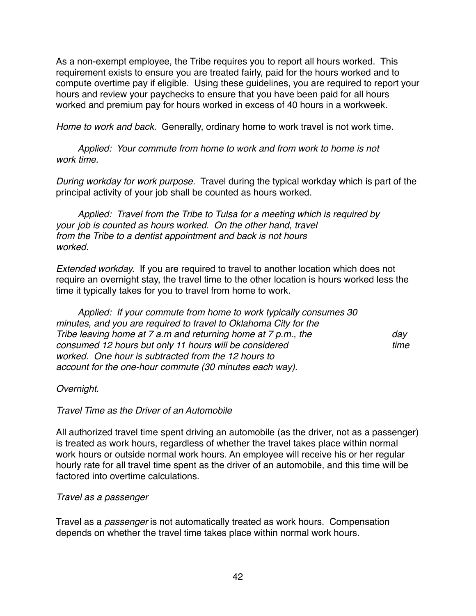As a non-exempt employee, the Tribe requires you to report all hours worked. This requirement exists to ensure you are treated fairly, paid for the hours worked and to compute overtime pay if eligible. Using these guidelines, you are required to report your hours and review your paychecks to ensure that you have been paid for all hours worked and premium pay for hours worked in excess of 40 hours in a workweek.

*Home to work and back.* Generally, ordinary home to work travel is not work time.

*Applied: Your commute from home to work and from work to home is not work time.*

*During workday for work purpose.* Travel during the typical workday which is part of the principal activity of your job shall be counted as hours worked.

*Applied: Travel from the Tribe to Tulsa for a meeting which is required by your job is counted as hours worked. On the other hand, travel from the Tribe to a dentist appointment and back is not hours worked.*

*Extended workday.* If you are required to travel to another location which does not require an overnight stay, the travel time to the other location is hours worked less the time it typically takes for you to travel from home to work.

*Applied: If your commute from home to work typically consumes 30 minutes, and you are required to travel to Oklahoma City for the Tribe leaving home at 7 a.m and returning home at 7 p.m., the day consumed 12 hours but only 11 hours will be considered* the state of time time *worked. One hour is subtracted from the 12 hours to account for the one-hour commute (30 minutes each way).*

# *Overnight.*

*Travel Time as the Driver of an Automobile*

All authorized travel time spent driving an automobile (as the driver, not as a passenger) is treated as work hours, regardless of whether the travel takes place within normal work hours or outside normal work hours. An employee will receive his or her regular hourly rate for all travel time spent as the driver of an automobile, and this time will be factored into overtime calculations.

# *Travel as a passenger*

Travel as a *passenger* is not automatically treated as work hours. Compensation depends on whether the travel time takes place within normal work hours.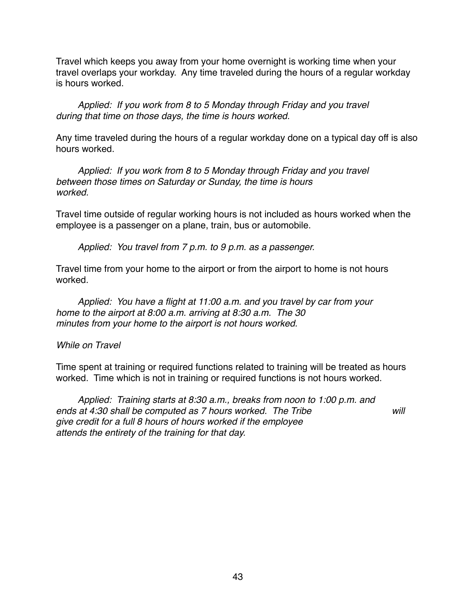Travel which keeps you away from your home overnight is working time when your travel overlaps your workday. Any time traveled during the hours of a regular workday is hours worked.

*Applied: If you work from 8 to 5 Monday through Friday and you travel during that time on those days, the time is hours worked.*

Any time traveled during the hours of a regular workday done on a typical day off is also hours worked.

*Applied: If you work from 8 to 5 Monday through Friday and you travel between those times on Saturday or Sunday, the time is hours worked.*

Travel time outside of regular working hours is not included as hours worked when the employee is a passenger on a plane, train, bus or automobile.

*Applied: You travel from 7 p.m. to 9 p.m. as a passenger.*

Travel time from your home to the airport or from the airport to home is not hours worked.

*Applied: You have a flight at 11:00 a.m. and you travel by car from your home to the airport at 8:00 a.m. arriving at 8:30 a.m. The 30 minutes from your home to the airport is not hours worked.*

#### *While on Travel*

Time spent at training or required functions related to training will be treated as hours worked. Time which is not in training or required functions is not hours worked.

*Applied: Training starts at 8:30 a.m., breaks from noon to 1:00 p.m. and ends at 4:30 shall be computed as 7 hours worked. The Tribe will give credit for a full 8 hours of hours worked if the employee attends the entirety of the training for that day.*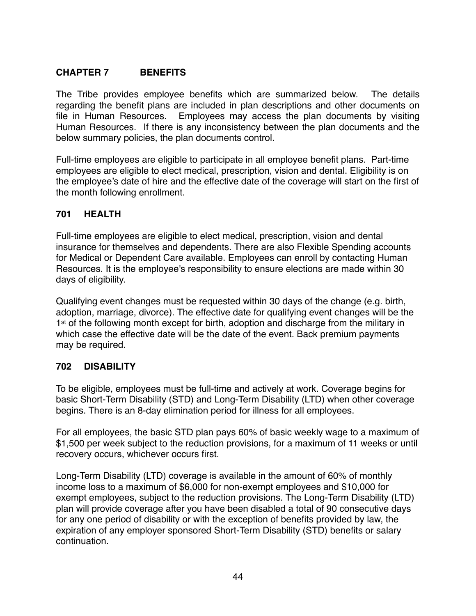# **CHAPTER 7 BENEFITS**

The Tribe provides employee benefits which are summarized below. The details regarding the benefit plans are included in plan descriptions and other documents on file in Human Resources. Employees may access the plan documents by visiting Human Resources. If there is any inconsistency between the plan documents and the below summary policies, the plan documents control.

Full-time employees are eligible to participate in all employee benefit plans. Part-time employees are eligible to elect medical, prescription, vision and dental. Eligibility is on the employee's date of hire and the effective date of the coverage will start on the first of the month following enrollment.

# **701 HEALTH**

Full-time employees are eligible to elect medical, prescription, vision and dental insurance for themselves and dependents. There are also Flexible Spending accounts for Medical or Dependent Care available. Employees can enroll by contacting Human Resources. It is the employee's responsibility to ensure elections are made within 30 days of eligibility.

Qualifying event changes must be requested within 30 days of the change (e.g. birth, adoption, marriage, divorce). The effective date for qualifying event changes will be the 1<sup>st</sup> of the following month except for birth, adoption and discharge from the military in which case the effective date will be the date of the event. Back premium payments may be required.

# **702 DISABILITY**

To be eligible, employees must be full-time and actively at work. Coverage begins for basic Short-Term Disability (STD) and Long-Term Disability (LTD) when other coverage begins. There is an 8-day elimination period for illness for all employees.

For all employees, the basic STD plan pays 60% of basic weekly wage to a maximum of \$1,500 per week subject to the reduction provisions, for a maximum of 11 weeks or until recovery occurs, whichever occurs first.

Long-Term Disability (LTD) coverage is available in the amount of 60% of monthly income loss to a maximum of \$6,000 for non-exempt employees and \$10,000 for exempt employees, subject to the reduction provisions. The Long-Term Disability (LTD) plan will provide coverage after you have been disabled a total of 90 consecutive days for any one period of disability or with the exception of benefits provided by law, the expiration of any employer sponsored Short-Term Disability (STD) benefits or salary continuation.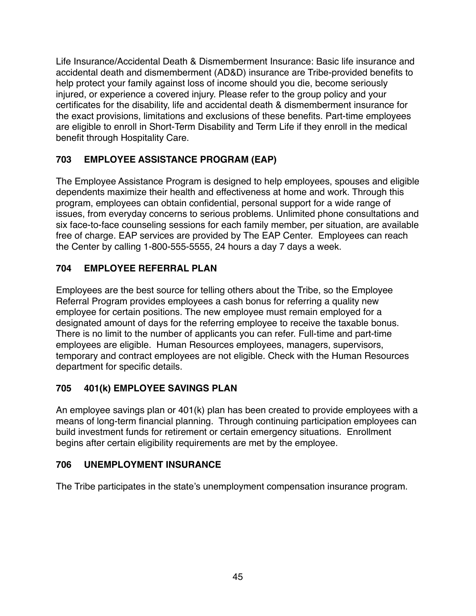Life Insurance/Accidental Death & Dismemberment Insurance: Basic life insurance and accidental death and dismemberment (AD&D) insurance are Tribe-provided benefits to help protect your family against loss of income should you die, become seriously injured, or experience a covered injury. Please refer to the group policy and your certificates for the disability, life and accidental death & dismemberment insurance for the exact provisions, limitations and exclusions of these benefits. Part-time employees are eligible to enroll in Short-Term Disability and Term Life if they enroll in the medical benefit through Hospitality Care.

# **703 EMPLOYEE ASSISTANCE PROGRAM (EAP)**

The Employee Assistance Program is designed to help employees, spouses and eligible dependents maximize their health and effectiveness at home and work. Through this program, employees can obtain confidential, personal support for a wide range of issues, from everyday concerns to serious problems. Unlimited phone consultations and six face-to-face counseling sessions for each family member, per situation, are available free of charge. EAP services are provided by The EAP Center. Employees can reach the Center by calling 1-800-555-5555, 24 hours a day 7 days a week.

# **704 EMPLOYEE REFERRAL PLAN**

Employees are the best source for telling others about the Tribe, so the Employee Referral Program provides employees a cash bonus for referring a quality new employee for certain positions. The new employee must remain employed for a designated amount of days for the referring employee to receive the taxable bonus. There is no limit to the number of applicants you can refer. Full-time and part-time employees are eligible. Human Resources employees, managers, supervisors, temporary and contract employees are not eligible. Check with the Human Resources department for specific details.

# **705 401(k) EMPLOYEE SAVINGS PLAN**

An employee savings plan or 401(k) plan has been created to provide employees with a means of long-term financial planning. Through continuing participation employees can build investment funds for retirement or certain emergency situations. Enrollment begins after certain eligibility requirements are met by the employee.

# **706 UNEMPLOYMENT INSURANCE**

The Tribe participates in the state's unemployment compensation insurance program.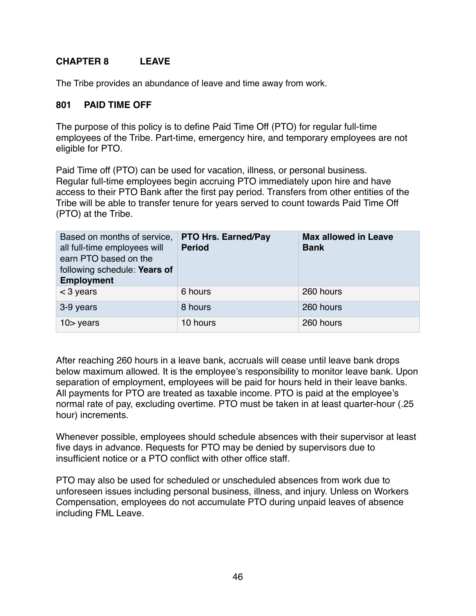# **CHAPTER 8 LEAVE**

The Tribe provides an abundance of leave and time away from work.

#### **801 PAID TIME OFF**

The purpose of this policy is to define Paid Time Off (PTO) for regular full-time employees of the Tribe. Part-time, emergency hire, and temporary employees are not eligible for PTO.

Paid Time off (PTO) can be used for vacation, illness, or personal business. Regular full-time employees begin accruing PTO immediately upon hire and have access to their PTO Bank after the first pay period. Transfers from other entities of the Tribe will be able to transfer tenure for years served to count towards Paid Time Off (PTO) at the Tribe.

| Based on months of service,<br>all full-time employees will<br>earn PTO based on the<br>following schedule: Years of<br><b>Employment</b> | <b>PTO Hrs. Earned/Pay</b><br><b>Period</b> | <b>Max allowed in Leave</b><br><b>Bank</b> |
|-------------------------------------------------------------------------------------------------------------------------------------------|---------------------------------------------|--------------------------------------------|
| $<$ 3 years                                                                                                                               | 6 hours                                     | 260 hours                                  |
| 3-9 years                                                                                                                                 | 8 hours                                     | 260 hours                                  |
| $10$ years                                                                                                                                | 10 hours                                    | 260 hours                                  |

After reaching 260 hours in a leave bank, accruals will cease until leave bank drops below maximum allowed. It is the employee's responsibility to monitor leave bank. Upon separation of employment, employees will be paid for hours held in their leave banks. All payments for PTO are treated as taxable income. PTO is paid at the employee's normal rate of pay, excluding overtime. PTO must be taken in at least quarter-hour (.25 hour) increments.

Whenever possible, employees should schedule absences with their supervisor at least five days in advance. Requests for PTO may be denied by supervisors due to insufficient notice or a PTO conflict with other office staff.

PTO may also be used for scheduled or unscheduled absences from work due to unforeseen issues including personal business, illness, and injury. Unless on Workers Compensation, employees do not accumulate PTO during unpaid leaves of absence including FML Leave.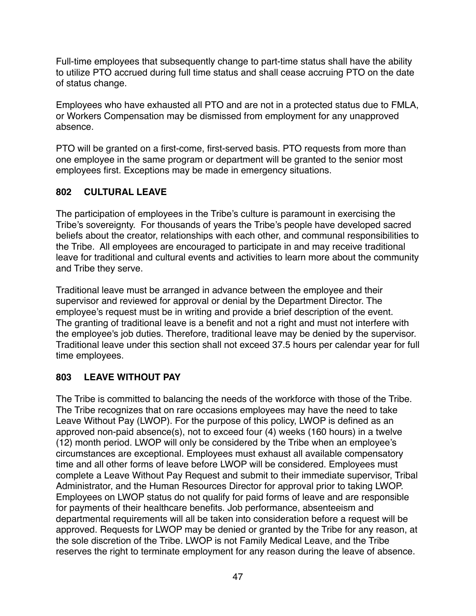Full-time employees that subsequently change to part-time status shall have the ability to utilize PTO accrued during full time status and shall cease accruing PTO on the date of status change.

Employees who have exhausted all PTO and are not in a protected status due to FMLA, or Workers Compensation may be dismissed from employment for any unapproved absence.

PTO will be granted on a first-come, first-served basis. PTO requests from more than one employee in the same program or department will be granted to the senior most employees first. Exceptions may be made in emergency situations.

# **802 CULTURAL LEAVE**

The participation of employees in the Tribe's culture is paramount in exercising the Tribe's sovereignty. For thousands of years the Tribe's people have developed sacred beliefs about the creator, relationships with each other, and communal responsibilities to the Tribe. All employees are encouraged to participate in and may receive traditional leave for traditional and cultural events and activities to learn more about the community and Tribe they serve.

Traditional leave must be arranged in advance between the employee and their supervisor and reviewed for approval or denial by the Department Director. The employee's request must be in writing and provide a brief description of the event. The granting of traditional leave is a benefit and not a right and must not interfere with the employee's job duties. Therefore, traditional leave may be denied by the supervisor. Traditional leave under this section shall not exceed 37.5 hours per calendar year for full time employees.

# **803 LEAVE WITHOUT PAY**

The Tribe is committed to balancing the needs of the workforce with those of the Tribe. The Tribe recognizes that on rare occasions employees may have the need to take Leave Without Pay (LWOP). For the purpose of this policy, LWOP is defined as an approved non-paid absence(s), not to exceed four (4) weeks (160 hours) in a twelve (12) month period. LWOP will only be considered by the Tribe when an employee's circumstances are exceptional. Employees must exhaust all available compensatory time and all other forms of leave before LWOP will be considered. Employees must complete a Leave Without Pay Request and submit to their immediate supervisor, Tribal Administrator, and the Human Resources Director for approval prior to taking LWOP. Employees on LWOP status do not qualify for paid forms of leave and are responsible for payments of their healthcare benefits. Job performance, absenteeism and departmental requirements will all be taken into consideration before a request will be approved. Requests for LWOP may be denied or granted by the Tribe for any reason, at the sole discretion of the Tribe. LWOP is not Family Medical Leave, and the Tribe reserves the right to terminate employment for any reason during the leave of absence.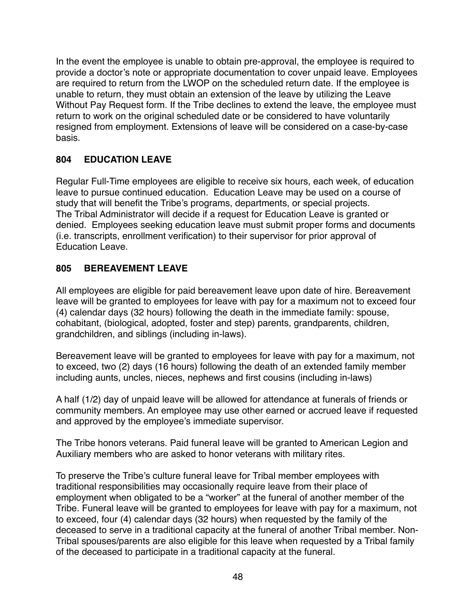In the event the employee is unable to obtain pre-approval, the employee is required to provide a doctor's note or appropriate documentation to cover unpaid leave. Employees are required to return from the LWOP on the scheduled return date. If the employee is unable to return, they must obtain an extension of the leave by utilizing the Leave Without Pay Request form. If the Tribe declines to extend the leave, the employee must return to work on the original scheduled date or be considered to have voluntarily resigned from employment. Extensions of leave will be considered on a case-by-case basis.

# **804 EDUCATION LEAVE**

Regular Full-Time employees are eligible to receive six hours, each week, of education leave to pursue continued education. Education Leave may be used on a course of study that will benefit the Tribe's programs, departments, or special projects. The Tribal Administrator will decide if a request for Education Leave is granted or denied. Employees seeking education leave must submit proper forms and documents (i.e. transcripts, enrollment verification) to their supervisor for prior approval of Education Leave.

# **805 BEREAVEMENT LEAVE**

All employees are eligible for paid bereavement leave upon date of hire. Bereavement leave will be granted to employees for leave with pay for a maximum not to exceed four (4) calendar days (32 hours) following the death in the immediate family: spouse, cohabitant, (biological, adopted, foster and step) parents, grandparents, children, grandchildren, and siblings (including in-laws).

Bereavement leave will be granted to employees for leave with pay for a maximum, not to exceed, two (2) days (16 hours) following the death of an extended family member including aunts, uncles, nieces, nephews and first cousins (including in-laws)

A half (1/2) day of unpaid leave will be allowed for attendance at funerals of friends or community members. An employee may use other earned or accrued leave if requested and approved by the employee's immediate supervisor.

The Tribe honors veterans. Paid funeral leave will be granted to American Legion and Auxiliary members who are asked to honor veterans with military rites.

To preserve the Tribe's culture funeral leave for Tribal member employees with traditional responsibilities may occasionally require leave from their place of employment when obligated to be a "worker" at the funeral of another member of the Tribe. Funeral leave will be granted to employees for leave with pay for a maximum, not to exceed, four (4) calendar days (32 hours) when requested by the family of the deceased to serve in a traditional capacity at the funeral of another Tribal member. Non-Tribal spouses/parents are also eligible for this leave when requested by a Tribal family of the deceased to participate in a traditional capacity at the funeral.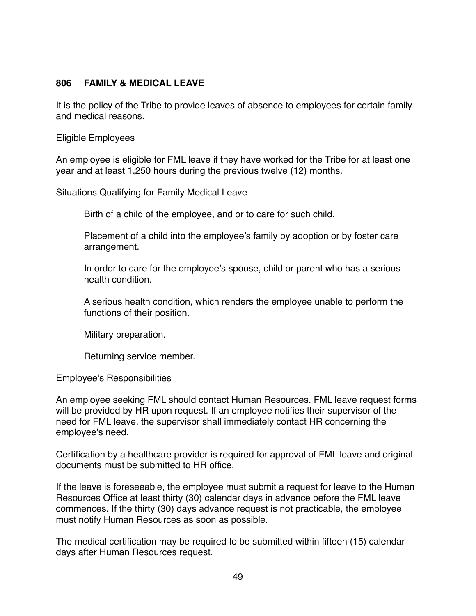#### **806 FAMILY & MEDICAL LEAVE**

It is the policy of the Tribe to provide leaves of absence to employees for certain family and medical reasons.

Eligible Employees

An employee is eligible for FML leave if they have worked for the Tribe for at least one year and at least 1,250 hours during the previous twelve (12) months.

Situations Qualifying for Family Medical Leave

Birth of a child of the employee, and or to care for such child.

Placement of a child into the employee's family by adoption or by foster care arrangement.

In order to care for the employee's spouse, child or parent who has a serious health condition.

A serious health condition, which renders the employee unable to perform the functions of their position.

Military preparation.

Returning service member.

Employee's Responsibilities

An employee seeking FML should contact Human Resources. FML leave request forms will be provided by HR upon request. If an employee notifies their supervisor of the need for FML leave, the supervisor shall immediately contact HR concerning the employee's need.

Certification by a healthcare provider is required for approval of FML leave and original documents must be submitted to HR office.

If the leave is foreseeable, the employee must submit a request for leave to the Human Resources Office at least thirty (30) calendar days in advance before the FML leave commences. If the thirty (30) days advance request is not practicable, the employee must notify Human Resources as soon as possible.

The medical certification may be required to be submitted within fifteen (15) calendar days after Human Resources request.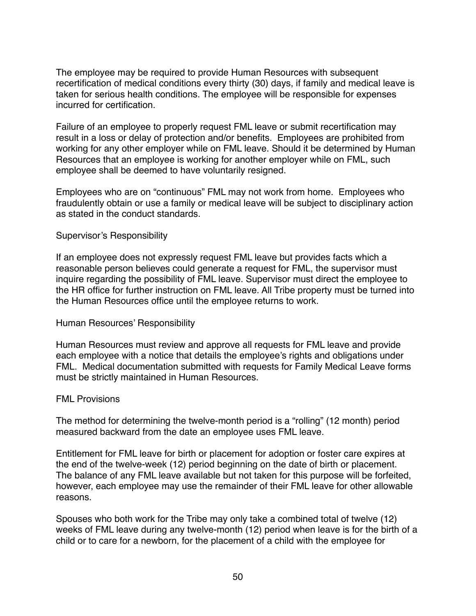The employee may be required to provide Human Resources with subsequent recertification of medical conditions every thirty (30) days, if family and medical leave is taken for serious health conditions. The employee will be responsible for expenses incurred for certification.

Failure of an employee to properly request FML leave or submit recertification may result in a loss or delay of protection and/or benefits. Employees are prohibited from working for any other employer while on FML leave. Should it be determined by Human Resources that an employee is working for another employer while on FML, such employee shall be deemed to have voluntarily resigned.

Employees who are on "continuous" FML may not work from home. Employees who fraudulently obtain or use a family or medical leave will be subject to disciplinary action as stated in the conduct standards.

#### Supervisor's Responsibility

If an employee does not expressly request FML leave but provides facts which a reasonable person believes could generate a request for FML, the supervisor must inquire regarding the possibility of FML leave. Supervisor must direct the employee to the HR office for further instruction on FML leave. All Tribe property must be turned into the Human Resources office until the employee returns to work.

#### Human Resources' Responsibility

Human Resources must review and approve all requests for FML leave and provide each employee with a notice that details the employee's rights and obligations under FML. Medical documentation submitted with requests for Family Medical Leave forms must be strictly maintained in Human Resources.

#### FML Provisions

The method for determining the twelve-month period is a "rolling" (12 month) period measured backward from the date an employee uses FML leave.

Entitlement for FML leave for birth or placement for adoption or foster care expires at the end of the twelve-week (12) period beginning on the date of birth or placement. The balance of any FML leave available but not taken for this purpose will be forfeited, however, each employee may use the remainder of their FML leave for other allowable reasons.

Spouses who both work for the Tribe may only take a combined total of twelve (12) weeks of FML leave during any twelve-month (12) period when leave is for the birth of a child or to care for a newborn, for the placement of a child with the employee for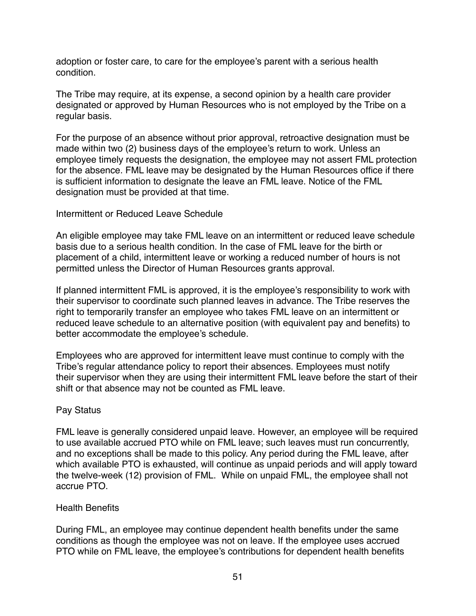adoption or foster care, to care for the employee's parent with a serious health condition.

The Tribe may require, at its expense, a second opinion by a health care provider designated or approved by Human Resources who is not employed by the Tribe on a regular basis.

For the purpose of an absence without prior approval, retroactive designation must be made within two (2) business days of the employee's return to work. Unless an employee timely requests the designation, the employee may not assert FML protection for the absence. FML leave may be designated by the Human Resources office if there is sufficient information to designate the leave an FML leave. Notice of the FML designation must be provided at that time.

#### Intermittent or Reduced Leave Schedule

An eligible employee may take FML leave on an intermittent or reduced leave schedule basis due to a serious health condition. In the case of FML leave for the birth or placement of a child, intermittent leave or working a reduced number of hours is not permitted unless the Director of Human Resources grants approval.

If planned intermittent FML is approved, it is the employee's responsibility to work with their supervisor to coordinate such planned leaves in advance. The Tribe reserves the right to temporarily transfer an employee who takes FML leave on an intermittent or reduced leave schedule to an alternative position (with equivalent pay and benefits) to better accommodate the employee's schedule.

Employees who are approved for intermittent leave must continue to comply with the Tribe's regular attendance policy to report their absences. Employees must notify their supervisor when they are using their intermittent FML leave before the start of their shift or that absence may not be counted as FML leave.

#### Pay Status

FML leave is generally considered unpaid leave. However, an employee will be required to use available accrued PTO while on FML leave; such leaves must run concurrently, and no exceptions shall be made to this policy. Any period during the FML leave, after which available PTO is exhausted, will continue as unpaid periods and will apply toward the twelve-week (12) provision of FML. While on unpaid FML, the employee shall not accrue PTO.

#### Health Benefits

During FML, an employee may continue dependent health benefits under the same conditions as though the employee was not on leave. If the employee uses accrued PTO while on FML leave, the employee's contributions for dependent health benefits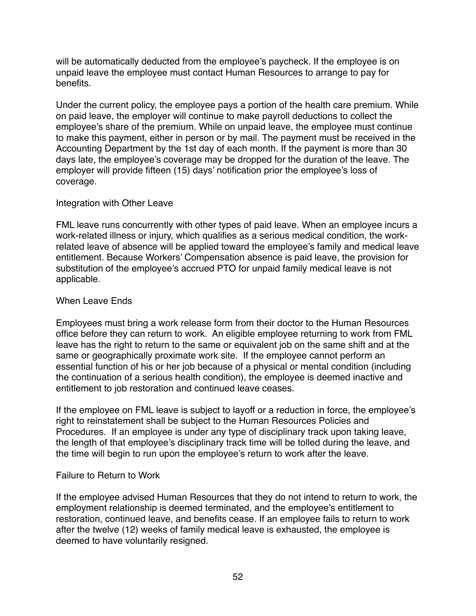will be automatically deducted from the employee's paycheck. If the employee is on unpaid leave the employee must contact Human Resources to arrange to pay for benefits.

Under the current policy, the employee pays a portion of the health care premium. While on paid leave, the employer will continue to make payroll deductions to collect the employee's share of the premium. While on unpaid leave, the employee must continue to make this payment, either in person or by mail. The payment must be received in the Accounting Department by the 1st day of each month. If the payment is more than 30 days late, the employee's coverage may be dropped for the duration of the leave. The employer will provide fifteen (15) days' notification prior the employee's loss of coverage.

#### Integration with Other Leave

FML leave runs concurrently with other types of paid leave. When an employee incurs a work-related illness or injury, which qualifies as a serious medical condition, the workrelated leave of absence will be applied toward the employee's family and medical leave entitlement. Because Workers' Compensation absence is paid leave, the provision for substitution of the employee's accrued PTO for unpaid family medical leave is not applicable.

#### When Leave Ends

Employees must bring a work release form from their doctor to the Human Resources office before they can return to work. An eligible employee returning to work from FML leave has the right to return to the same or equivalent job on the same shift and at the same or geographically proximate work site. If the employee cannot perform an essential function of his or her job because of a physical or mental condition (including the continuation of a serious health condition), the employee is deemed inactive and entitlement to job restoration and continued leave ceases.

If the employee on FML leave is subject to layoff or a reduction in force, the employee's right to reinstatement shall be subject to the Human Resources Policies and Procedures. If an employee is under any type of disciplinary track upon taking leave, the length of that employee's disciplinary track time will be tolled during the leave, and the time will begin to run upon the employee's return to work after the leave.

#### Failure to Return to Work

If the employee advised Human Resources that they do not intend to return to work, the employment relationship is deemed terminated, and the employee's entitlement to restoration, continued leave, and benefits cease. If an employee fails to return to work after the twelve (12) weeks of family medical leave is exhausted, the employee is deemed to have voluntarily resigned.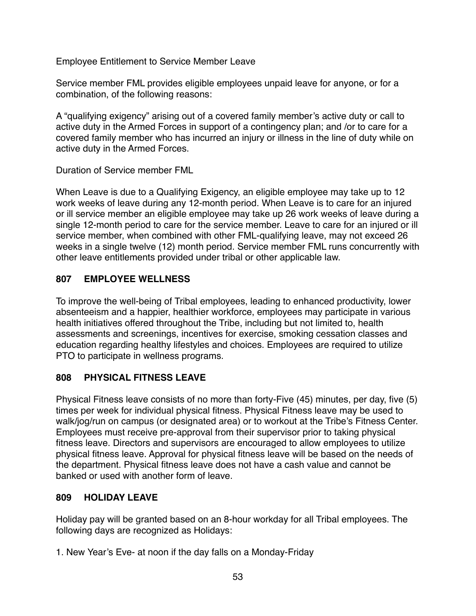Employee Entitlement to Service Member Leave

Service member FML provides eligible employees unpaid leave for anyone, or for a combination, of the following reasons:

A "qualifying exigency" arising out of a covered family member's active duty or call to active duty in the Armed Forces in support of a contingency plan; and /or to care for a covered family member who has incurred an injury or illness in the line of duty while on active duty in the Armed Forces.

Duration of Service member FML

When Leave is due to a Qualifying Exigency, an eligible employee may take up to 12 work weeks of leave during any 12-month period. When Leave is to care for an injured or ill service member an eligible employee may take up 26 work weeks of leave during a single 12-month period to care for the service member. Leave to care for an injured or ill service member, when combined with other FML-qualifying leave, may not exceed 26 weeks in a single twelve (12) month period. Service member FML runs concurrently with other leave entitlements provided under tribal or other applicable law.

# **807 EMPLOYEE WELLNESS**

To improve the well-being of Tribal employees, leading to enhanced productivity, lower absenteeism and a happier, healthier workforce, employees may participate in various health initiatives offered throughout the Tribe, including but not limited to, health assessments and screenings, incentives for exercise, smoking cessation classes and education regarding healthy lifestyles and choices. Employees are required to utilize PTO to participate in wellness programs.

# **808 PHYSICAL FITNESS LEAVE**

Physical Fitness leave consists of no more than forty-Five (45) minutes, per day, five (5) times per week for individual physical fitness. Physical Fitness leave may be used to walk/jog/run on campus (or designated area) or to workout at the Tribe's Fitness Center. Employees must receive pre-approval from their supervisor prior to taking physical fitness leave. Directors and supervisors are encouraged to allow employees to utilize physical fitness leave. Approval for physical fitness leave will be based on the needs of the department. Physical fitness leave does not have a cash value and cannot be banked or used with another form of leave.

# **809 HOLIDAY LEAVE**

Holiday pay will be granted based on an 8-hour workday for all Tribal employees. The following days are recognized as Holidays:

1. New Year's Eve- at noon if the day falls on a Monday-Friday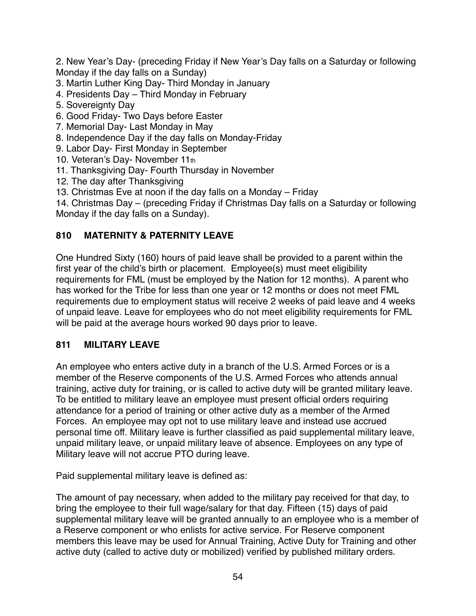2. New Year's Day- (preceding Friday if New Year's Day falls on a Saturday or following Monday if the day falls on a Sunday)

- 3. Martin Luther King Day- Third Monday in January
- 4. Presidents Day Third Monday in February
- 5. Sovereignty Day
- 6. Good Friday- Two Days before Easter
- 7. Memorial Day- Last Monday in May
- 8. Independence Day if the day falls on Monday-Friday
- 9. Labor Day- First Monday in September
- 10. Veteran's Day- November 11th
- 11. Thanksgiving Day- Fourth Thursday in November
- 12. The day after Thanksgiving
- 13. Christmas Eve at noon if the day falls on a Monday Friday
- 14. Christmas Day (preceding Friday if Christmas Day falls on a Saturday or following Monday if the day falls on a Sunday).

# **810 MATERNITY & PATERNITY LEAVE**

One Hundred Sixty (160) hours of paid leave shall be provided to a parent within the first year of the child's birth or placement. Employee(s) must meet eligibility requirements for FML (must be employed by the Nation for 12 months). A parent who has worked for the Tribe for less than one year or 12 months or does not meet FML requirements due to employment status will receive 2 weeks of paid leave and 4 weeks of unpaid leave. Leave for employees who do not meet eligibility requirements for FML will be paid at the average hours worked 90 days prior to leave.

# **811 MILITARY LEAVE**

An employee who enters active duty in a branch of the U.S. Armed Forces or is a member of the Reserve components of the U.S. Armed Forces who attends annual training, active duty for training, or is called to active duty will be granted military leave. To be entitled to military leave an employee must present official orders requiring attendance for a period of training or other active duty as a member of the Armed Forces. An employee may opt not to use military leave and instead use accrued personal time off. Military leave is further classified as paid supplemental military leave, unpaid military leave, or unpaid military leave of absence. Employees on any type of Military leave will not accrue PTO during leave.

Paid supplemental military leave is defined as:

The amount of pay necessary, when added to the military pay received for that day, to bring the employee to their full wage/salary for that day. Fifteen (15) days of paid supplemental military leave will be granted annually to an employee who is a member of a Reserve component or who enlists for active service. For Reserve component members this leave may be used for Annual Training, Active Duty for Training and other active duty (called to active duty or mobilized) verified by published military orders.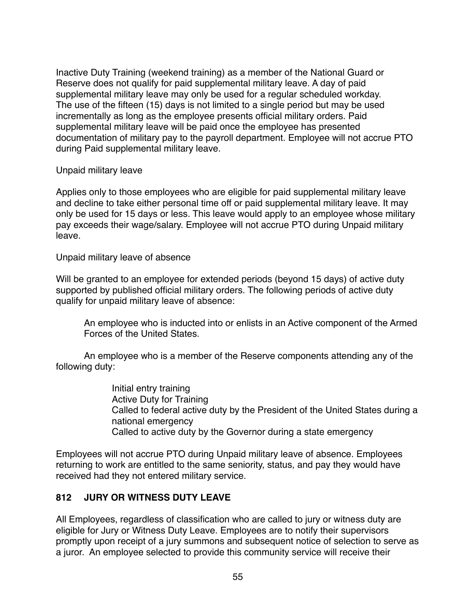Inactive Duty Training (weekend training) as a member of the National Guard or Reserve does not qualify for paid supplemental military leave. A day of paid supplemental military leave may only be used for a regular scheduled workday. The use of the fifteen (15) days is not limited to a single period but may be used incrementally as long as the employee presents official military orders. Paid supplemental military leave will be paid once the employee has presented documentation of military pay to the payroll department. Employee will not accrue PTO during Paid supplemental military leave.

Unpaid military leave

Applies only to those employees who are eligible for paid supplemental military leave and decline to take either personal time off or paid supplemental military leave. It may only be used for 15 days or less. This leave would apply to an employee whose military pay exceeds their wage/salary. Employee will not accrue PTO during Unpaid military leave.

Unpaid military leave of absence

Will be granted to an employee for extended periods (beyond 15 days) of active duty supported by published official military orders. The following periods of active duty qualify for unpaid military leave of absence:

An employee who is inducted into or enlists in an Active component of the Armed Forces of the United States.

An employee who is a member of the Reserve components attending any of the following duty:

> Initial entry training Active Duty for Training Called to federal active duty by the President of the United States during a national emergency Called to active duty by the Governor during a state emergency

Employees will not accrue PTO during Unpaid military leave of absence. Employees returning to work are entitled to the same seniority, status, and pay they would have received had they not entered military service.

# **812 JURY OR WITNESS DUTY LEAVE**

All Employees, regardless of classification who are called to jury or witness duty are eligible for Jury or Witness Duty Leave. Employees are to notify their supervisors promptly upon receipt of a jury summons and subsequent notice of selection to serve as a juror. An employee selected to provide this community service will receive their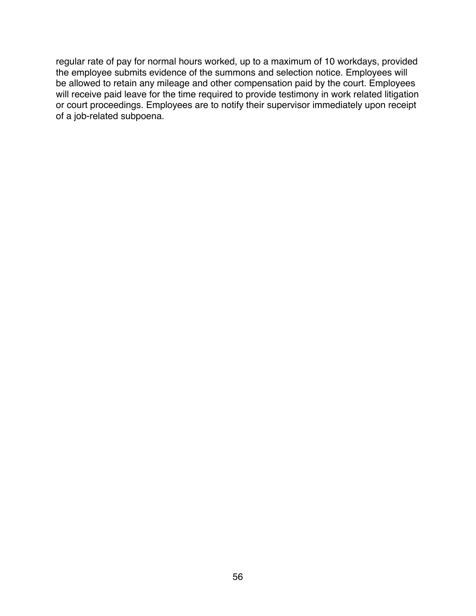regular rate of pay for normal hours worked, up to a maximum of 10 workdays, provided the employee submits evidence of the summons and selection notice. Employees will be allowed to retain any mileage and other compensation paid by the court. Employees will receive paid leave for the time required to provide testimony in work related litigation or court proceedings. Employees are to notify their supervisor immediately upon receipt of a job-related subpoena.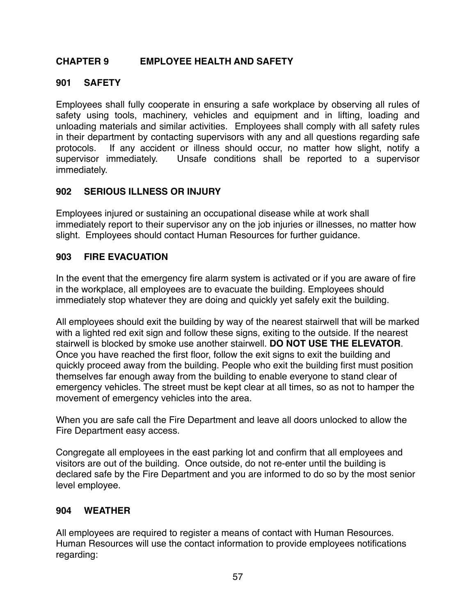# **CHAPTER 9 EMPLOYEE HEALTH AND SAFETY**

#### **901 SAFETY**

Employees shall fully cooperate in ensuring a safe workplace by observing all rules of safety using tools, machinery, vehicles and equipment and in lifting, loading and unloading materials and similar activities. Employees shall comply with all safety rules in their department by contacting supervisors with any and all questions regarding safe protocols. If any accident or illness should occur, no matter how slight, notify a supervisor immediately. Unsafe conditions shall be reported to a supervisor immediately.

#### **902 SERIOUS ILLNESS OR INJURY**

Employees injured or sustaining an occupational disease while at work shall immediately report to their supervisor any on the job injuries or illnesses, no matter how slight. Employees should contact Human Resources for further guidance.

#### **903 FIRE EVACUATION**

In the event that the emergency fire alarm system is activated or if you are aware of fire in the workplace, all employees are to evacuate the building. Employees should immediately stop whatever they are doing and quickly yet safely exit the building.

All employees should exit the building by way of the nearest stairwell that will be marked with a lighted red exit sign and follow these signs, exiting to the outside. If the nearest stairwell is blocked by smoke use another stairwell. **DO NOT USE THE ELEVATOR**. Once you have reached the first floor, follow the exit signs to exit the building and quickly proceed away from the building. People who exit the building first must position themselves far enough away from the building to enable everyone to stand clear of emergency vehicles. The street must be kept clear at all times, so as not to hamper the movement of emergency vehicles into the area.

When you are safe call the Fire Department and leave all doors unlocked to allow the Fire Department easy access.

Congregate all employees in the east parking lot and confirm that all employees and visitors are out of the building. Once outside, do not re-enter until the building is declared safe by the Fire Department and you are informed to do so by the most senior level employee.

#### **904 WEATHER**

All employees are required to register a means of contact with Human Resources. Human Resources will use the contact information to provide employees notifications regarding: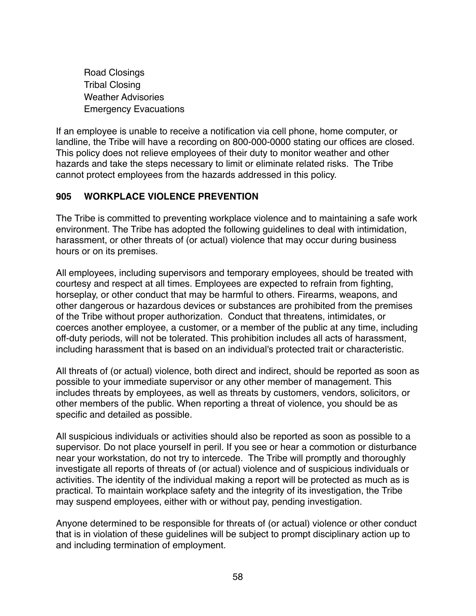Road Closings Tribal Closing Weather Advisories Emergency Evacuations

If an employee is unable to receive a notification via cell phone, home computer, or landline, the Tribe will have a recording on 800-000-0000 stating our offices are closed. This policy does not relieve employees of their duty to monitor weather and other hazards and take the steps necessary to limit or eliminate related risks. The Tribe cannot protect employees from the hazards addressed in this policy.

# **905 WORKPLACE VIOLENCE PREVENTION**

The Tribe is committed to preventing workplace violence and to maintaining a safe work environment. The Tribe has adopted the following guidelines to deal with intimidation, harassment, or other threats of (or actual) violence that may occur during business hours or on its premises.

All employees, including supervisors and temporary employees, should be treated with courtesy and respect at all times. Employees are expected to refrain from fighting, horseplay, or other conduct that may be harmful to others. Firearms, weapons, and other dangerous or hazardous devices or substances are prohibited from the premises of the Tribe without proper authorization. Conduct that threatens, intimidates, or coerces another employee, a customer, or a member of the public at any time, including off-duty periods, will not be tolerated. This prohibition includes all acts of harassment, including harassment that is based on an individual's protected trait or characteristic.

All threats of (or actual) violence, both direct and indirect, should be reported as soon as possible to your immediate supervisor or any other member of management. This includes threats by employees, as well as threats by customers, vendors, solicitors, or other members of the public. When reporting a threat of violence, you should be as specific and detailed as possible.

All suspicious individuals or activities should also be reported as soon as possible to a supervisor. Do not place yourself in peril. If you see or hear a commotion or disturbance near your workstation, do not try to intercede. The Tribe will promptly and thoroughly investigate all reports of threats of (or actual) violence and of suspicious individuals or activities. The identity of the individual making a report will be protected as much as is practical. To maintain workplace safety and the integrity of its investigation, the Tribe may suspend employees, either with or without pay, pending investigation.

Anyone determined to be responsible for threats of (or actual) violence or other conduct that is in violation of these guidelines will be subject to prompt disciplinary action up to and including termination of employment.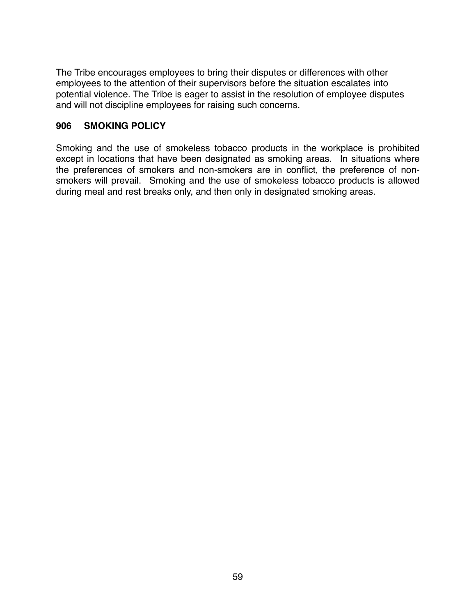The Tribe encourages employees to bring their disputes or differences with other employees to the attention of their supervisors before the situation escalates into potential violence. The Tribe is eager to assist in the resolution of employee disputes and will not discipline employees for raising such concerns.

#### **906 SMOKING POLICY**

Smoking and the use of smokeless tobacco products in the workplace is prohibited except in locations that have been designated as smoking areas. In situations where the preferences of smokers and non-smokers are in conflict, the preference of nonsmokers will prevail. Smoking and the use of smokeless tobacco products is allowed during meal and rest breaks only, and then only in designated smoking areas.